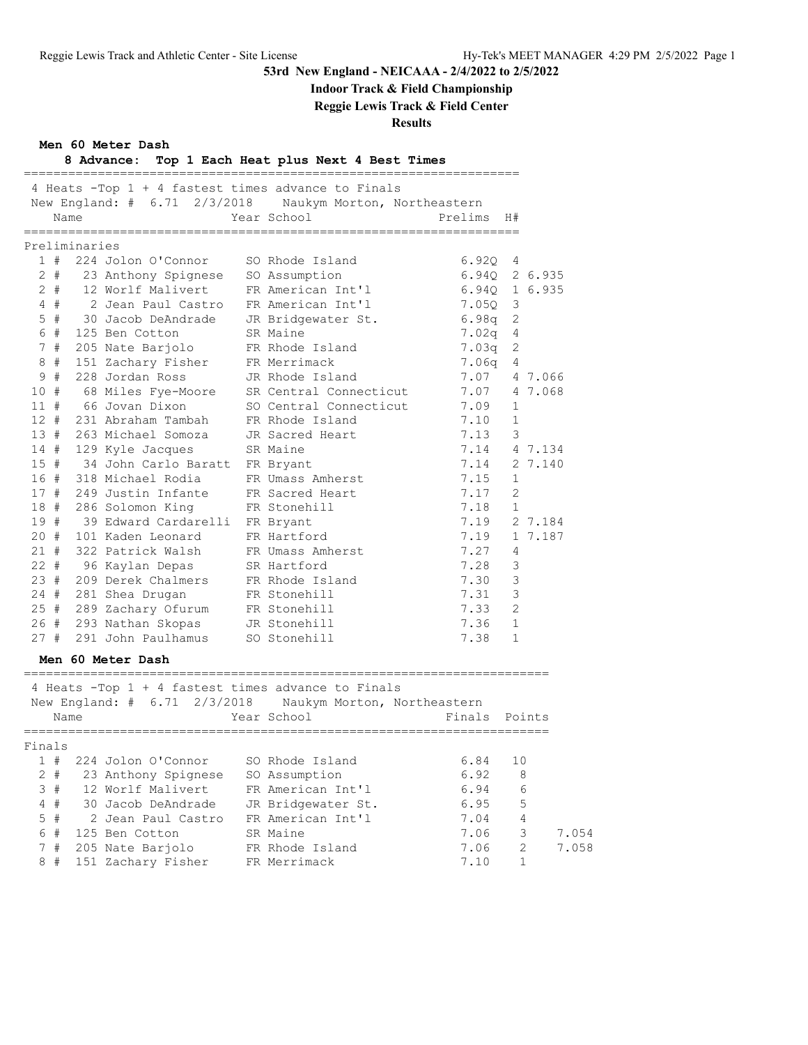### **Indoor Track & Field Championship**

**Reggie Lewis Track & Field Center**

|        |               | Men 60 Meter Dash                    | Reggie Lewis Track & Pielu Center<br><b>Results</b>                                                            |                 |              |
|--------|---------------|--------------------------------------|----------------------------------------------------------------------------------------------------------------|-----------------|--------------|
|        |               |                                      | 8 Advance: Top 1 Each Heat plus Next 4 Best Times                                                              |                 |              |
|        |               |                                      | 4 Heats -Top 1 + 4 fastest times advance to Finals                                                             |                 |              |
|        |               |                                      | New England: # 6.71 2/3/2018 Naukym Morton, Northeastern                                                       |                 |              |
|        | Name          |                                      | Year School                                                                                                    | Prelims         | H#           |
|        | Preliminaries |                                      |                                                                                                                | =============== |              |
|        |               | 1 # 224 Jolon O'Connor               | SO Rhode Island                                                                                                | 6.92Q           | 4            |
|        |               | 2 # 23 Anthony Spignese              | SO Assumption                                                                                                  | 6.94Q           | 2 6.935      |
|        |               | 2 # 12 Worlf Malivert                | FR American Int'l                                                                                              | 6.94Q           | 1 6.935      |
|        | 4#            | 2 Jean Paul Castro                   | FR American Int'l                                                                                              | 7.050           | 3            |
|        |               |                                      | 5 # 30 Jacob DeAndrade JR Bridgewater St.                                                                      | 6.98q           | 2            |
|        |               | 6 # 125 Ben Cotton                   | SR Maine                                                                                                       | 7.02q           | 4            |
|        |               | 7 # 205 Nate Barjolo                 | FR Rhode Island                                                                                                | 7.03q           | 2            |
|        |               | 8 # 151 Zachary Fisher FR Merrimack  |                                                                                                                | 7.06q           | 4            |
|        |               | 9 # 228 Jordan Ross                  | JR Rhode Island                                                                                                | 7.07            | 4 7.066      |
|        |               | 10 # 68 Miles Fye-Moore              | SR Central Connecticut                                                                                         | 7.07            | 4 7.068      |
| $11$ # |               | 66 Jovan Dixon                       | SO Central Connecticut                                                                                         | 7.09            | 1            |
|        |               | 12 # 231 Abraham Tambah              | FR Rhode Island                                                                                                | 7.10            | 1            |
|        |               | 13 # 263 Michael Somoza              | JR Sacred Heart                                                                                                | 7.13            | 3            |
|        |               | 14 # 129 Kyle Jacques                | SR Maine                                                                                                       | 7.14            | 4 7.134      |
|        |               | 15 # 34 John Carlo Baratt FR Bryant  |                                                                                                                | 7.14            | 2 7.140      |
|        |               | 16 # 318 Michael Rodia               | FR Umass Amherst                                                                                               | 7.15            | $\mathbf{1}$ |
|        |               | 17 # 249 Justin Infante              | FR Sacred Heart                                                                                                | 7.17            | 2            |
|        |               | 18 # 286 Solomon King                | FR Stonehill                                                                                                   | 7.18            | $\mathbf{1}$ |
| 19#    |               | 39 Edward Cardarelli FR Bryant       |                                                                                                                | 7.19            | 2 7.184      |
|        |               | 20 # 101 Kaden Leonard               | FR Hartford                                                                                                    | 7.19            | 1 7.187      |
| 21#    |               | 322 Patrick Walsh                    | FR Umass Amherst                                                                                               | 7.27            | 4            |
|        |               | 22 # 96 Kaylan Depas                 | SR Hartford                                                                                                    | 7.28            | 3            |
|        |               | 23 # 209 Derek Chalmers              | FR Rhode Island                                                                                                | 7.30            | 3            |
|        |               | 24 # 281 Shea Drugan                 | FR Stonehill                                                                                                   | 7.31            | 3            |
|        |               | 25 # 289 Zachary Ofurum FR Stonehill |                                                                                                                | 7.33            | 2            |
|        |               | 26 # 293 Nathan Skopas               | JR Stonehill                                                                                                   | 7.36            | $\mathbf{1}$ |
|        |               | 27 # 291 John Paulhamus SO Stonehill |                                                                                                                | 7.38            | $\mathbf{1}$ |
|        |               | Men 60 Meter Dash                    |                                                                                                                |                 |              |
|        |               |                                      |                                                                                                                |                 |              |
|        |               |                                      | 4 Heats -Top 1 + 4 fastest times advance to Finals<br>New England: # 6.71 2/3/2018 Naukym Morton, Northeastern |                 |              |
|        | Name          |                                      | Year School                                                                                                    | Finals          | Points       |
| Finals |               |                                      |                                                                                                                |                 |              |
| 1#     |               | 224 Jolon O'Connor                   | SO Rhode Island                                                                                                | 6.84            | 10           |
|        | 2#            | 23 Anthony Spignese                  | SO Assumption                                                                                                  | 6.92            | 8            |
| 3#     |               | 12 Worlf Malivert                    | FR American Int'l                                                                                              | 6.94            | 6            |
| 4#     |               | 30 Jacob DeAndrade                   | JR Bridgewater St.                                                                                             | 6.95            | 5            |

5 # 2 Jean Paul Castro FR American Int'l 7.04 4

8 # 151 Zachary Fisher FR Merrimack 7.10 1

 6 # 125 Ben Cotton SR Maine 7.06 3 7.054 7 # 205 Nate Barjolo FR Rhode Island 7.06 2 7.058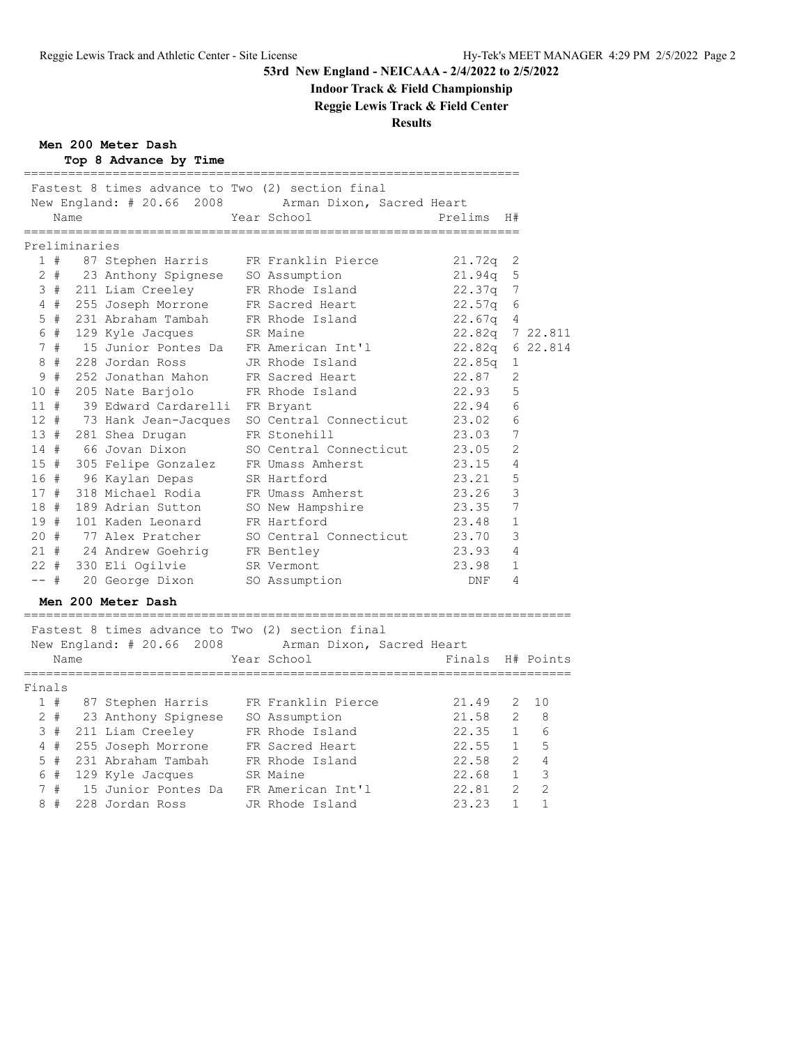## **Indoor Track & Field Championship**

**Reggie Lewis Track & Field Center**

### **Results**

**Men 200 Meter Dash**

|  |  | Top 8 Advance by Time |  |  |
|--|--|-----------------------|--|--|
|--|--|-----------------------|--|--|

|        |     |               | Fastest 8 times advance to Two (2) section final | New England: # 20.66 2008 Arman Dixon, Sacred Heart |                 |                |        |
|--------|-----|---------------|--------------------------------------------------|-----------------------------------------------------|-----------------|----------------|--------|
|        |     | Name          |                                                  | Year School                                         | Prelims         | H#             |        |
|        |     | Preliminaries |                                                  |                                                     |                 |                |        |
|        |     |               |                                                  | 1 # 87 Stephen Harris FR Franklin Pierce            | 21.72q 2        |                |        |
|        |     |               | 2 # 23 Anthony Spignese SO Assumption            |                                                     | $21.94q$ 5      |                |        |
|        |     |               | 3 # 211 Liam Creeley FR Rhode Island             |                                                     | 22.37q 7        |                |        |
|        | 4#  |               | 255 Joseph Morrone FR Sacred Heart               |                                                     | 22.57q          | 6              |        |
|        | 5#  |               | 231 Abraham Tambah     FR Rhode Island           |                                                     | $22.67q$ 4      |                |        |
|        | 6 # |               | 129 Kyle Jacques SR Maine                        |                                                     | 22.82q 7 22.811 |                |        |
|        | 7#  |               | 15 Junior Pontes Da                              | FR American Int'l                                   | $22.82q$ 6      |                | 22.814 |
|        | 8#  |               | 228 Jordan Ross                                  | JR Rhode Island                                     | 22.85q          | 1              |        |
| 9      | #   |               | 252 Jonathan Mahon FR Sacred Heart               |                                                     | 22.87           | 2              |        |
| 10#    |     |               | 205 Nate Barjolo                                 | FR Rhode Island                                     | 22.93           | 5              |        |
| 11#    |     |               | 39 Edward Cardarelli FR Bryant                   |                                                     | 22.94           | 6              |        |
| $12 +$ |     |               | 73 Hank Jean-Jacques                             | SO Central Connecticut                              | 23.02           | 6              |        |
| 13#    |     |               | 281 Shea Drugan                                  | FR Stonehill                                        | 23.03           | 7              |        |
| 14#    |     |               | 66 Jovan Dixon                                   | SO Central Connecticut                              | 23.05           | $\overline{2}$ |        |
|        |     |               | 15 # 305 Felipe Gonzalez FR Umass Amherst        |                                                     | 23.15           | $\overline{4}$ |        |
| 16#    |     |               | 96 Kaylan Depas                                  | SR Hartford                                         | 23.21           | 5              |        |
| 17#    |     |               | 318 Michael Rodia                                | FR Umass Amherst                                    | 23.26           | 3              |        |
| 18#    |     |               | 189 Adrian Sutton                                | SO New Hampshire                                    | 23.35           | 7              |        |
| 19#    |     |               | 101 Kaden Leonard                                | FR Hartford                                         | 23.48           | $\mathbf{1}$   |        |
| 20#    |     |               | 77 Alex Pratcher                                 | SO Central Connecticut 23.70                        |                 | 3              |        |
|        |     |               | 21 # 24 Andrew Goehrig FR Bentley                |                                                     | 23.93           | $\overline{4}$ |        |
|        |     |               | 22 # 330 Eli Ogilvie SR Vermont                  |                                                     | 23.98           | $\mathbf{1}$   |        |
| $--$ # |     |               | 20 George Dixon                                  | SO Assumption                                       | DNF             | 4              |        |
|        |     |               | Men 200 Meter Dash                               |                                                     |                 |                |        |
|        |     |               | Fastest 8 times advance to Two (2) section final |                                                     |                 |                |        |

 New England: # 20.66 2008 Arman Dixon, Sacred Heart Name The Year School The Finals H# Points ========================================================================== Finals 1 # 87 Stephen Harris FR Franklin Pierce 21.49 2 10 2 # 23 Anthony Spignese SO Assumption 21.58 2 8 3 # 211 Liam Creeley FR Rhode Island 22.35 1 6 4 # 255 Joseph Morrone FR Sacred Heart 22.55 1 5 5 # 231 Abraham Tambah FR Rhode Island 22.58 2 4

 6 # 129 Kyle Jacques SR Maine 22.68 1 3 7 # 15 Junior Pontes Da FR American Int'l 22.81 2 2 8 # 228 Jordan Ross JR Rhode Island 23.23 1 1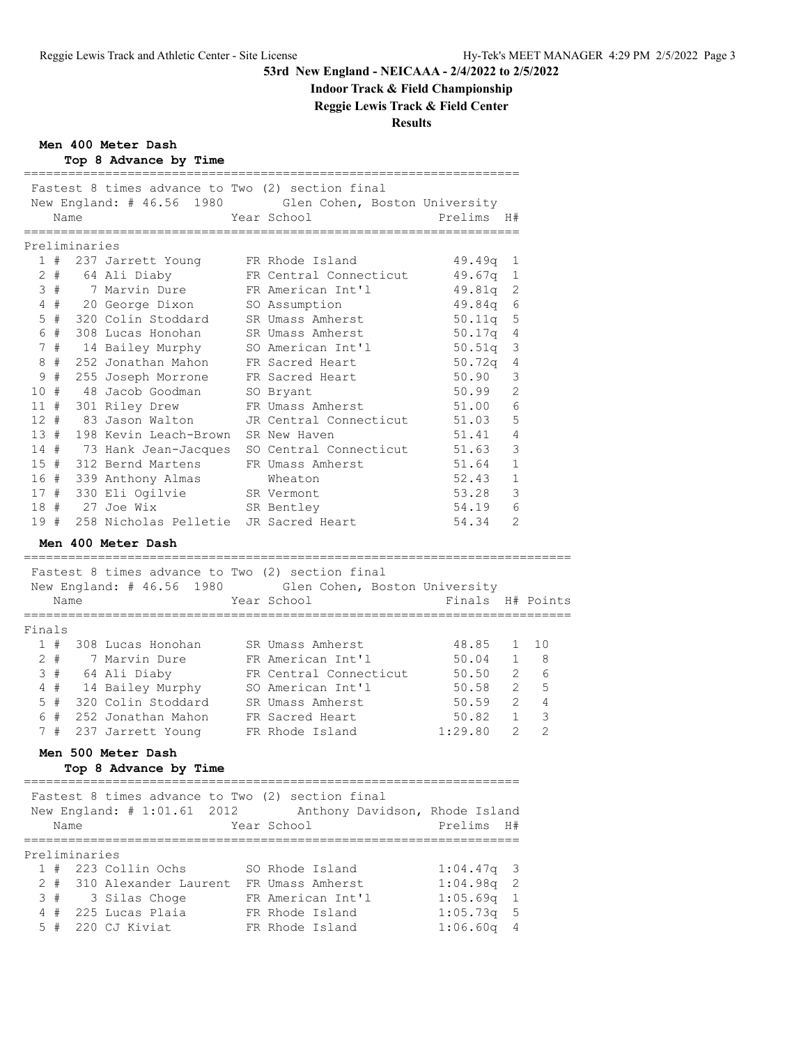# **Indoor Track & Field Championship**

**Reggie Lewis Track & Field Center**

## **Results**

**Men 400 Meter Dash**

Top 8 Advance by Time

|        |       |                           | rop 8 Advance by rime                                                          |                                                         |                  |                         |                |
|--------|-------|---------------------------|--------------------------------------------------------------------------------|---------------------------------------------------------|------------------|-------------------------|----------------|
|        |       |                           | Fastest 8 times advance to Two (2) section final                               |                                                         |                  |                         |                |
|        |       |                           |                                                                                | New England: # 46.56 1980 Glen Cohen, Boston University |                  |                         |                |
|        | Name  |                           |                                                                                | Year School                                             | Prelims H#       |                         |                |
|        |       | Preliminaries             | :=====================                                                         | _____________________________                           | ===============  |                         |                |
|        |       |                           | 1 # 237 Jarrett Young FR Rhode Island                                          |                                                         | 49.49q           | 1                       |                |
|        |       |                           |                                                                                | 2 # 64 Ali Diaby FR Central Connecticut                 | $49.67q$ 1       |                         |                |
|        | 3#    |                           | 7 Marvin Dure FR American Int'l                                                |                                                         | 49.81q           | 2                       |                |
|        |       |                           | 4 # 20 George Dixon                                                            | SO Assumption                                           | 49.84q           | 6                       |                |
|        |       |                           | 5 # 320 Colin Stoddard                                                         | SR Umass Amherst                                        | 50.11q           | 5                       |                |
|        | 6#    |                           | 308 Lucas Honohan                                                              | SR Umass Amherst                                        | 50.17q           | $\overline{4}$          |                |
|        | 7#    |                           | 14 Bailey Murphy                                                               | SO American Int'l                                       | 50.51q           | 3                       |                |
|        | 8#    |                           | 252 Jonathan Mahon                                                             | FR Sacred Heart                                         | 50.72q           | 4                       |                |
|        | 9#    |                           | 255 Joseph Morrone                                                             | FR Sacred Heart                                         | 50.90            | 3                       |                |
| 10#    |       |                           | 48 Jacob Goodman SO Bryant                                                     |                                                         | 50.99            | 2                       |                |
| 11#    |       |                           | 301 Riley Drew                                                                 | FR Umass Amherst                                        | 51.00            | 6                       |                |
| $12 +$ |       |                           | 83 Jason Walton                                                                | JR Central Connecticut                                  | 51.03            | 5                       |                |
| 13#    |       |                           | 198 Kevin Leach-Brown SR New Haven                                             |                                                         | 51.41            | $\overline{4}$          |                |
| 14#    |       |                           |                                                                                | 73 Hank Jean-Jacques SO Central Connecticut             | 51.63            | 3                       |                |
| 15#    |       |                           | 312 Bernd Martens                                                              | FR Umass Amherst                                        | 51.64            | 1                       |                |
|        |       |                           | 16 # 339 Anthony Almas                                                         | Wheaton                                                 | 52.43            | 1                       |                |
|        |       |                           | 17 # 330 Eli Ogilvie SR Vermont                                                |                                                         | 53.28            | $\overline{\mathbf{3}}$ |                |
|        |       |                           | 18 # 27 Joe Wix                                                                | SR Bentley                                              | 54.19            | 6                       |                |
| 19#    |       |                           | 258 Nicholas Pelletie JR Sacred Heart                                          |                                                         | 54.34            | 2                       |                |
|        |       |                           | Men 400 Meter Dash                                                             |                                                         |                  |                         |                |
|        |       |                           |                                                                                |                                                         |                  |                         |                |
|        |       |                           | Fastest 8 times advance to Two (2) section final                               |                                                         |                  |                         |                |
|        |       |                           |                                                                                | New England: # 46.56 1980 Glen Cohen, Boston University |                  |                         |                |
|        | Name  | ============              |                                                                                | Year School<br>----------------------                   | Finals H# Points |                         |                |
| Finals |       |                           |                                                                                |                                                         |                  |                         |                |
|        |       |                           | 1 # 308 Lucas Honohan                                                          | SR Umass Amherst                                        | 48.85            | $\mathbf{1}$            | 10             |
|        | $2 +$ |                           | 7 Marvin Dure                                                                  | FR American Int'l                                       | 50.04            | 1                       | - 8            |
|        |       |                           |                                                                                | FR Central Connecticut                                  | $50.50$ 2        |                         | 6              |
|        |       |                           | 3 # 64 Ali Diaby FR Central Connect:<br>4 # 14 Bailey Murphy SO American Int'l |                                                         | $50.58$ 2        |                         | - 5            |
|        | 5#    |                           | 320 Colin Stoddard SR Umass Amherst                                            |                                                         | $50.59$ 2 4      |                         |                |
|        | 6 #   |                           | 252 Jonathan Mahon                                                             | FR Sacred Heart                                         | 50.82 1          |                         | 3              |
|        | 7#    |                           |                                                                                | 237 Jarrett Young FR Rhode Island 1:29.80               |                  | $\overline{2}$          | $\overline{2}$ |
|        |       |                           | Men 500 Meter Dash                                                             |                                                         |                  |                         |                |
|        |       |                           | Top 8 Advance by Time                                                          |                                                         |                  |                         |                |
|        |       |                           |                                                                                |                                                         |                  |                         |                |
|        |       |                           | Fastest 8 times advance to Two (2) section final                               |                                                         |                  |                         |                |
|        |       |                           | New England: # 1:01.61 2012                                                    | Anthony Davidson, Rhode Island                          |                  |                         |                |
|        | Name  | . _ _ _ _ _ _ _ _ _ _ _ _ |                                                                                | Year School                                             | Prelims          | H#                      |                |
|        |       | Preliminaries             |                                                                                |                                                         |                  |                         |                |
|        | 1#    |                           | 223 Collin Ochs                                                                | SO Rhode Island                                         | 1:04.47q         | 3                       |                |
|        | 2#    |                           | 310 Alexander Laurent FR Umass Amherst                                         |                                                         | 1:04.98q         | 2                       |                |
| 3      | #     |                           | 3 Silas Choqe                                                                  | FR American Int'l                                       | 1:05.69q         | 1                       |                |
| 4      | #     |                           | 225 Lucas Plaia                                                                | FR Rhode Island                                         | 1:05.73q         | 5                       |                |
|        | 5#    |                           | 220 CJ Kiviat                                                                  | FR Rhode Island                                         | 1:06.60q         | 4                       |                |
|        |       |                           |                                                                                |                                                         |                  |                         |                |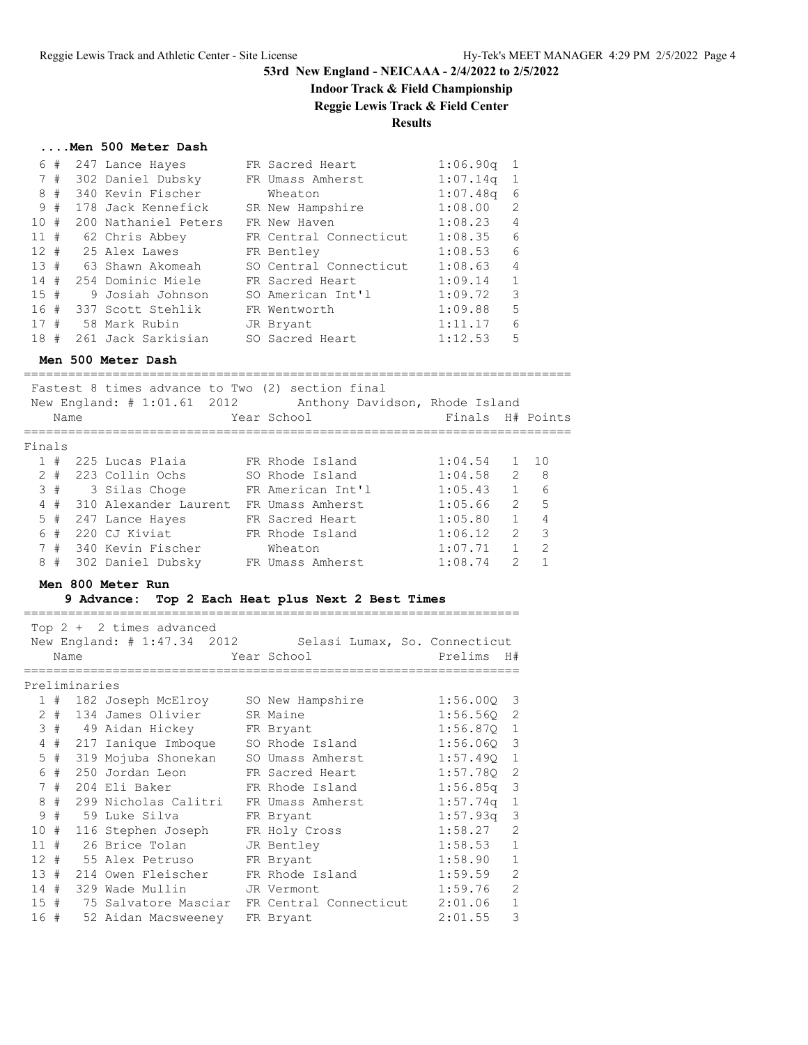# **Indoor Track & Field Championship**

# **Reggie Lewis Track & Field Center**

## **Results**

### **....Men 500 Meter Dash**

| 6      | #  | 247 Lance Hayes      | FR Sacred Heart        | 1:06.90q | -1             |
|--------|----|----------------------|------------------------|----------|----------------|
|        | 7# | 302 Daniel Dubsky    | FR Umass Amherst       | 1:07.14q | -1             |
| 8      | #  | 340 Kevin Fischer    | Wheaton                | 1:07.48q | 6              |
|        | 9# | 178 Jack Kennefick   | SR New Hampshire       | 1:08.00  | 2              |
| 10#    |    | 200 Nathaniel Peters | FR New Haven           | 1:08.23  | 4              |
| 11#    |    | 62 Chris Abbey       | FR Central Connecticut | 1:08.35  | 6              |
| $12 +$ |    | 25 Alex Lawes        | FR Bentley             | 1:08.53  | 6              |
| 13#    |    | 63 Shawn Akomeah     | SO Central Connecticut | 1:08.63  | $\overline{4}$ |
| 14#    |    | 254 Dominic Miele    | FR Sacred Heart        | 1:09.14  | $\mathbf{1}$   |
| 15#    |    | 9 Josiah Johnson     | SO American Int'l      | 1:09.72  | 3              |
| 16#    |    | 337 Scott Stehlik    | FR Wentworth           | 1:09.88  | 5              |
| 17#    |    | 58 Mark Rubin        | JR Bryant              | 1:11.17  | 6              |
| 18#    |    | 261 Jack Sarkisian   | SO Sacred Heart        | 1:12.53  | 5              |

### **Men 500 Meter Dash**

==========================================================================

|                | Name  | Fastest 8 times advance to Two (2) section final<br>New England: # 1:01.61 2012 | Anthony Davidson, Rhode Island<br>Year School | Finals H# Points |               |               |
|----------------|-------|---------------------------------------------------------------------------------|-----------------------------------------------|------------------|---------------|---------------|
| Finals         |       |                                                                                 |                                               |                  |               |               |
|                | 1#    | 225 Lucas Plaia                                                                 | FR Rhode Island                               | 1:04.54          |               | $1 \quad 10$  |
|                | $2 +$ | -223 Collin Ochs                                                                | SO Rhode Island                               | 1:04.58          | $\mathcal{L}$ | - 8           |
|                | 3#    | 3 Silas Choqe                                                                   | FR American Int'l                             | 1:05.43          | $\mathbf{1}$  | 6             |
| $\overline{4}$ | #     | 310 Alexander Laurent                                                           | FR Umass Amherst                              | 1:05.66          | $\mathcal{L}$ | $-5$          |
|                | 5#    | 247 Lance Hayes                                                                 | FR Sacred Heart                               | 1:05.80          | $\mathbf{1}$  | 4             |
| 6              | #     | 220 CJ Kiviat                                                                   | FR Rhode Island                               | 1:06.12          | $\mathcal{L}$ | 3             |
|                | 7#    | 340 Kevin Fischer                                                               | Wheaton                                       | 1:07.71          | $\mathbf{1}$  | $\mathcal{L}$ |
| 8              | #     | 302 Daniel Dubsky                                                               | FR Umass Amherst                              | 1:08.74          | $\mathcal{L}$ |               |
|                |       |                                                                                 |                                               |                  |               |               |

### **Men 800 Meter Run**

### **9 Advance: Top 2 Each Heat plus Next 2 Best Times**

===================================================================

|     |       |               | Top $2 + 2$ times advanced              |                                                           |              |                |
|-----|-------|---------------|-----------------------------------------|-----------------------------------------------------------|--------------|----------------|
|     |       |               |                                         | New England: # 1:47.34 2012 Selasi Lumax, So. Connecticut |              |                |
|     | Name  |               |                                         | Year School Prelims                                       |              | H#             |
|     |       |               |                                         |                                                           |              |                |
|     |       | Preliminaries |                                         |                                                           |              |                |
|     | 1#    |               | 182 Joseph McElroy SO New Hampshire     |                                                           | $1:56.000$ 3 |                |
|     | $2 +$ |               | 134 James Olivier SR Maine              |                                                           | $1:56.56Q$ 2 |                |
|     |       |               | 3 # 49 Aidan Hickey FR Bryant           |                                                           | $1:56.870$ 1 |                |
|     |       |               | 4 # 217 Ianique Imboque SO Rhode Island |                                                           | $1:56.06Q$ 3 |                |
|     | 5#    |               | 319 Mojuba Shonekan                     | SO Umass Amherst                                          | 1:57.490 1   |                |
|     | 6#    |               | 250 Jordan Leon                         | FR Sacred Heart                                           | $1:57.780$ 2 |                |
|     | 7#    |               | 204 Eli Baker 6 FR Rhode Island         |                                                           | $1:56.85q$ 3 |                |
|     | 8#    |               |                                         | 299 Nicholas Calitri FR Umass Amherst                     | $1:57.74q$ 1 |                |
| 9   | #     |               | 59 Luke Silva                           | FR Bryant                                                 | $1:57.93q$ 3 |                |
|     | 10#   |               | 116 Stephen Joseph FR Holy Cross        |                                                           | 1:58.27      | 2              |
| 11# |       |               | 26 Brice Tolan JR Bentley               |                                                           | 1:58.53      | $\mathbf{1}$   |
|     |       |               | 12 # 55 Alex Petruso FR Bryant          |                                                           | 1:58.90      | $\mathbf{1}$   |
| 13# |       |               | 214 Owen Fleischer FR Rhode Island      |                                                           | 1:59.59      | $\overline{2}$ |
| 14# |       |               | 329 Wade Mullin JR Vermont              |                                                           | 1:59.76      | $\overline{2}$ |
|     |       |               |                                         | 15 # 75 Salvatore Masciar FR Central Connecticut          | 2:01.06      | $\mathbf{1}$   |
| 16# |       |               | 52 Aidan Macsweeney                     | FR Bryant                                                 | 2:01.55      | 3              |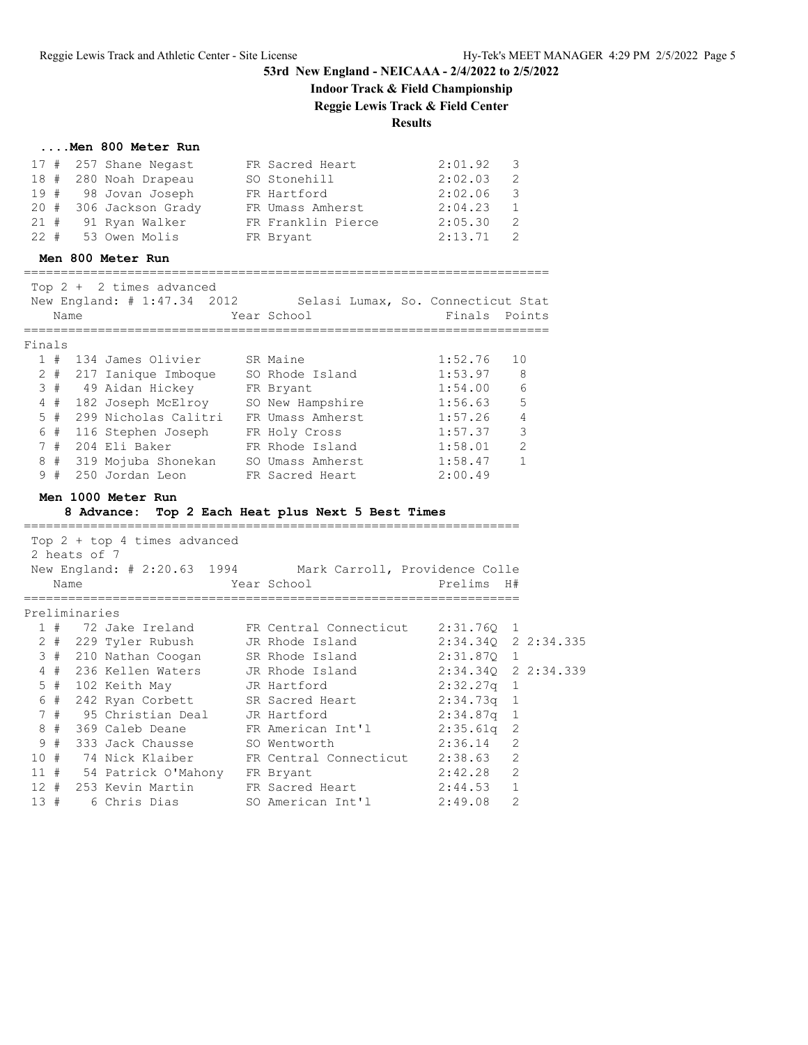# **Indoor Track & Field Championship**

**Reggie Lewis Track & Field Center**

## **Results**

### **....Men 800 Meter Run**

|  | $17$ # 257 Shane Negast | FR Sacred Heart    | 2:01.92 | - 3            |
|--|-------------------------|--------------------|---------|----------------|
|  | 18 # 280 Noah Drapeau   | SO Stonehill       | 2:02.03 | - 2            |
|  | 19 # 98 Jovan Joseph    | FR Hartford        | 2:02.06 | - 3            |
|  | 20 # 306 Jackson Grady  | FR Umass Amherst   | 2:04.23 | $\overline{1}$ |
|  | 21 # 91 Ryan Walker     | FR Franklin Pierce | 2:05.30 | - 2            |
|  | 22 # 53 Owen Molis      | FR Bryant          | 2:13.71 | - 2            |

### **Men 800 Meter Run**

=======================================================================  $T \cap D$  + 2 times advanced

|        |      | TOD Z +  Z LIMES dUVdNCEU   |                                    |               |                |
|--------|------|-----------------------------|------------------------------------|---------------|----------------|
|        |      | New England: # 1:47.34 2012 | Selasi Lumax, So. Connecticut Stat |               |                |
|        | Name |                             | Year School                        | Finals Points |                |
|        |      |                             |                                    |               |                |
| Finals |      |                             |                                    |               |                |
|        | #    | 134 James Olivier           | SR Maine                           | 1:52.76       | 10             |
| 2      | #    | 217 Ianique Imboque         | SO Rhode Island                    | 1:53.97       | -8             |
| 3#     |      | 49 Aidan Hickey             | FR Bryant                          | 1:54.00       | 6              |
| 4      | #    | 182 Joseph McElroy          | SO New Hampshire                   | 1:56.63       | 5              |
| 5      | #    | 299 Nicholas Calitri        | FR Umass Amherst                   | 1:57.26       | $\overline{4}$ |
| 6 #    |      | 116 Stephen Joseph          | FR Holy Cross                      | 1:57.37       | 3              |
|        | #    | 204 Eli Baker               | FR Rhode Island                    | 1:58.01       | 2              |
| 8      | #    | 319 Mojuba Shonekan         | SO Umass Amherst                   | 1:58.47       | $\mathbf{1}$   |
| 9      | #    | 250 Jordan Leon             | FR Sacred Heart                    | 2:00.49       |                |

#### **Men 1000 Meter Run**

### **8 Advance: Top 2 Each Heat plus Next 5 Best Times**

|     | 2 heats of 7  | Top $2 + top 4$ times advanced        |                                                            |                     |               |  |
|-----|---------------|---------------------------------------|------------------------------------------------------------|---------------------|---------------|--|
|     |               |                                       | New England: # 2:20.63 1994 Mark Carroll, Providence Colle |                     |               |  |
|     | Name          |                                       | Year School                                                | Prelims H#          |               |  |
|     |               |                                       |                                                            |                     |               |  |
|     | Preliminaries |                                       |                                                            |                     |               |  |
|     |               |                                       | 1 # 72 Jake Ireland FR Central Connecticut 2:31.760 1      |                     |               |  |
|     |               |                                       | 2 # 229 Tyler Rubush JR Rhode Island 2:34.34Q 2 2:34.335   |                     |               |  |
|     |               |                                       | 3 # 210 Nathan Coogan SR Rhode Island                      | 2:31.870 1          |               |  |
|     |               |                                       | 4 # 236 Kellen Waters JR Rhode Island                      | 2:34.340 2 2:34.339 |               |  |
|     |               |                                       | 5 # 102 Keith May 5 JR Hartford                            | $2:32.27q$ 1        |               |  |
|     |               |                                       | 6 # 242 Ryan Corbett SR Sacred Heart 2:34.73q 1            |                     |               |  |
|     |               | 7 # 95 Christian Deal     JR Hartford |                                                            | 2:34.87a 1          |               |  |
|     |               |                                       | 8 # 369 Caleb Deane FR American Int'l 2:35.61q 2           |                     |               |  |
|     |               | 9 # 333 Jack Chausse SO Wentworth     |                                                            | $2:36.14$ 2         |               |  |
|     |               |                                       | 10 # 74 Nick Klaiber FR Central Connecticut 2:38.63 2      |                     |               |  |
|     |               | 11 # 54 Patrick O'Mahony FR Bryant    |                                                            | $2:42.28$ 2         |               |  |
|     |               |                                       | 12 # 253 Kevin Martin FR Sacred Heart                      | 2:44.53 1           |               |  |
| 13# |               |                                       |                                                            |                     | $\mathcal{P}$ |  |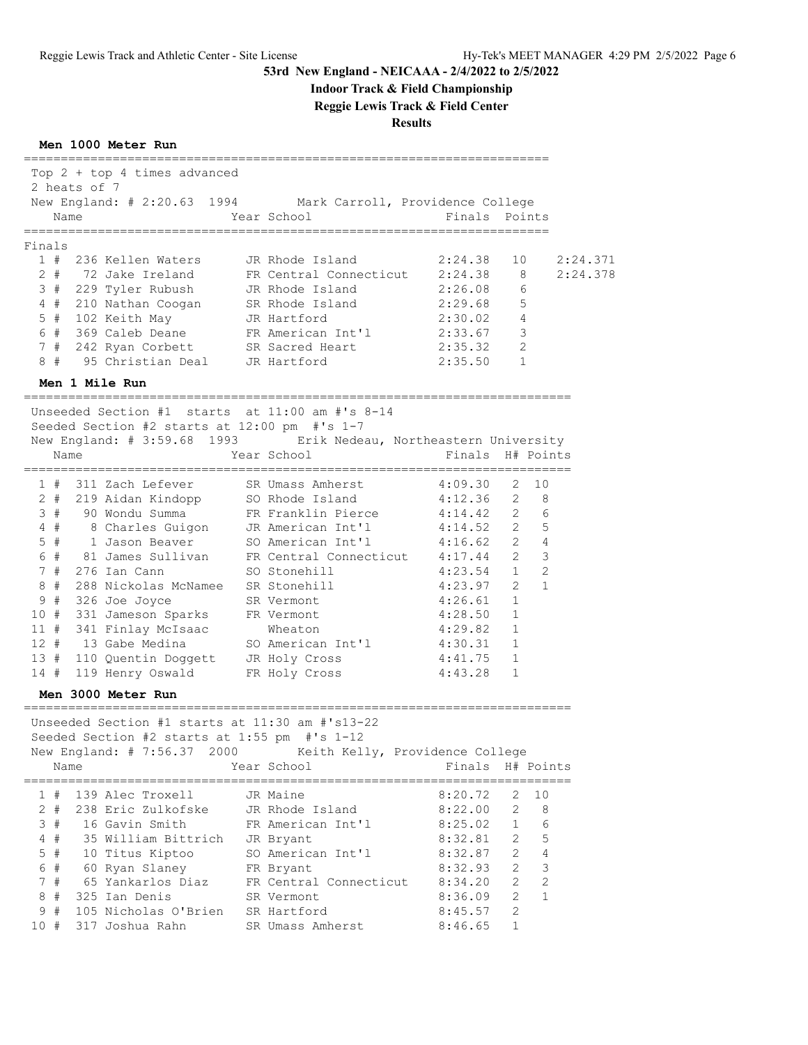# **Indoor Track & Field Championship**

**Reggie Lewis Track & Field Center**

**Results**

### **Men 1000 Meter Run**

|        | Top 2 + top 4 times advanced<br>2 heats of 7<br>New England: # 2:20.63 1994 Mark Carroll, Providence College<br>Name<br>==============                                            | Year School                                    | Finals                            | Points                         |          |
|--------|-----------------------------------------------------------------------------------------------------------------------------------------------------------------------------------|------------------------------------------------|-----------------------------------|--------------------------------|----------|
| Finals |                                                                                                                                                                                   |                                                |                                   |                                |          |
|        | 1 # 236 Kellen Waters                                                                                                                                                             | JR Rhode Island                                | 2:24.38                           | 10                             | 2:24.371 |
|        | 2 # 72 Jake Ireland                                                                                                                                                               | FR Central Connecticut 2:24.38                 |                                   | - 8                            | 2:24.378 |
|        | 3 # 229 Tyler Rubush                                                                                                                                                              | JR Rhode Island                                | 2:26.08                           | 6                              |          |
|        | 4 # 210 Nathan Coogan                                                                                                                                                             | SR Rhode Island                                | 2:29.68                           | 5                              |          |
|        | 5 # 102 Keith May                                                                                                                                                                 | JR Hartford                                    | 2:30.02                           | $\overline{4}$                 |          |
|        | 6 # 369 Caleb Deane                                                                                                                                                               | FR American Int'l                              | 2:33.67                           | 3                              |          |
| 7#     | 242 Ryan Corbett                                                                                                                                                                  | SR Sacred Heart                                | 2:35.32                           | 2                              |          |
| 8#     | 95 Christian Deal                                                                                                                                                                 | JR Hartford                                    | 2:35.50                           | $\mathbf{1}$                   |          |
|        | Men 1 Mile Run                                                                                                                                                                    |                                                |                                   |                                |          |
|        | Unseeded Section $#1$ starts at $11:00$ am $#1s$ 8-14<br>Seeded Section #2 starts at 12:00 pm #'s 1-7<br>New England: # 3:59.68 1993 Erik Nedeau, Northeastern University<br>Name | Year School                                    | Finals H# Points                  |                                |          |
|        |                                                                                                                                                                                   | ===========================                    | --------------------              |                                |          |
|        | 1 # 311 Zach Lefever                                                                                                                                                              | SR Umass Amherst                               | 4:09.30                           | 2<br>10                        |          |
|        | 2 # 219 Aidan Kindopp                                                                                                                                                             | SO Rhode Island                                | 4:12.36                           | $\overline{2}$<br>8            |          |
| 3#     | 90 Wondu Summa                                                                                                                                                                    | FR Franklin Pierce                             | 4:14.42                           | $2^{\circ}$<br>6               |          |
| $4$ #  | 8 Charles Guigon                                                                                                                                                                  | JR American Int'l                              | 4:14.52                           | $2^{\circ}$<br>5               |          |
| 5#     | 1 Jason Beaver                                                                                                                                                                    | SO American Int'l                              | 4:16.62                           | $2^{\circ}$<br>4               |          |
| 6 #    | 81 James Sullivan                                                                                                                                                                 | FR Central Connecticut 4:17.44                 |                                   | 3<br>$2^{\circ}$               |          |
| 7#     | 276 Ian Cann                                                                                                                                                                      | SO Stonehill                                   | 4:23.54                           | $\overline{2}$<br>1            |          |
| 8#     | 288 Nickolas McNamee                                                                                                                                                              | SR Stonehill                                   | 4:23.97                           | $\mathbf{1}$<br>$\overline{2}$ |          |
| 9#     | 326 Joe Joyce                                                                                                                                                                     | SR Vermont                                     | 4:26.61                           | $\mathbf{1}$                   |          |
| 10#    | 331 Jameson Sparks                                                                                                                                                                | FR Vermont                                     | 4:28.50                           | $\mathbf{1}$                   |          |
|        | 11 # 341 Finlay McIsaac                                                                                                                                                           | Wheaton                                        | 4:29.82                           | 1                              |          |
| 12#    | 13 Gabe Medina                                                                                                                                                                    | SO American Int'l                              | 4:30.31                           | 1                              |          |
|        | 13 # 110 Quentin Doggett JR Holy Cross                                                                                                                                            |                                                | 4:41.75                           | $\mathbf{1}$                   |          |
| 14#    | 119 Henry Oswald                                                                                                                                                                  | FR Holy Cross                                  | 4:43.28                           | 1                              |          |
|        | Men 3000 Meter Run                                                                                                                                                                |                                                |                                   |                                |          |
|        | Unseeded Section #1 starts at 11:30 am #'s13-22<br>Seeded Section #2 starts at 1:55 pm #'s 1-12<br>New England: # 7:56.37 2000<br>Name                                            | Keith Kelly, Providence College<br>Year School | Finals                            | H# Points                      |          |
| 1#     | 139 Alec Troxell                                                                                                                                                                  | ==========================<br>JR Maine         | ======================<br>8:20.72 | 10<br>2                        |          |
| $2 +$  | 238 Eric Zulkofske                                                                                                                                                                | JR Rhode Island                                | 8:22.00                           | 2<br>8                         |          |
| 3#     | 16 Gavin Smith                                                                                                                                                                    | FR American Int'l                              | 8:25.02                           | 6<br>$\mathbf 1$               |          |
| $4$ #  | 35 William Bittrich                                                                                                                                                               | JR Bryant                                      | 8:32.81                           | $\overline{2}$<br>5            |          |
| $5$ #  | 10 Titus Kiptoo                                                                                                                                                                   | SO American Int'l                              | 8:32.87                           | $\overline{2}$<br>4            |          |
| #<br>6 | 60 Ryan Slaney                                                                                                                                                                    | FR Bryant                                      | 8:32.93                           | 2<br>$\mathsf 3$               |          |
|        | 65 Yankarlos Diaz                                                                                                                                                                 |                                                |                                   | $\overline{2}$                 |          |
| 7#     |                                                                                                                                                                                   | FR Central Connecticut                         | 8:34.20                           | 2                              |          |
| 8<br># | 325 Ian Denis                                                                                                                                                                     | SR Vermont                                     | 8:36.09                           | $\overline{2}$<br>$\mathbf 1$  |          |
| #<br>9 | 105 Nicholas O'Brien                                                                                                                                                              | SR Hartford                                    | 8:45.57                           | $\overline{c}$                 |          |
| 10#    | 317 Joshua Rahn       SR Umass Amherst                                                                                                                                            |                                                | 8:46.65                           | 1                              |          |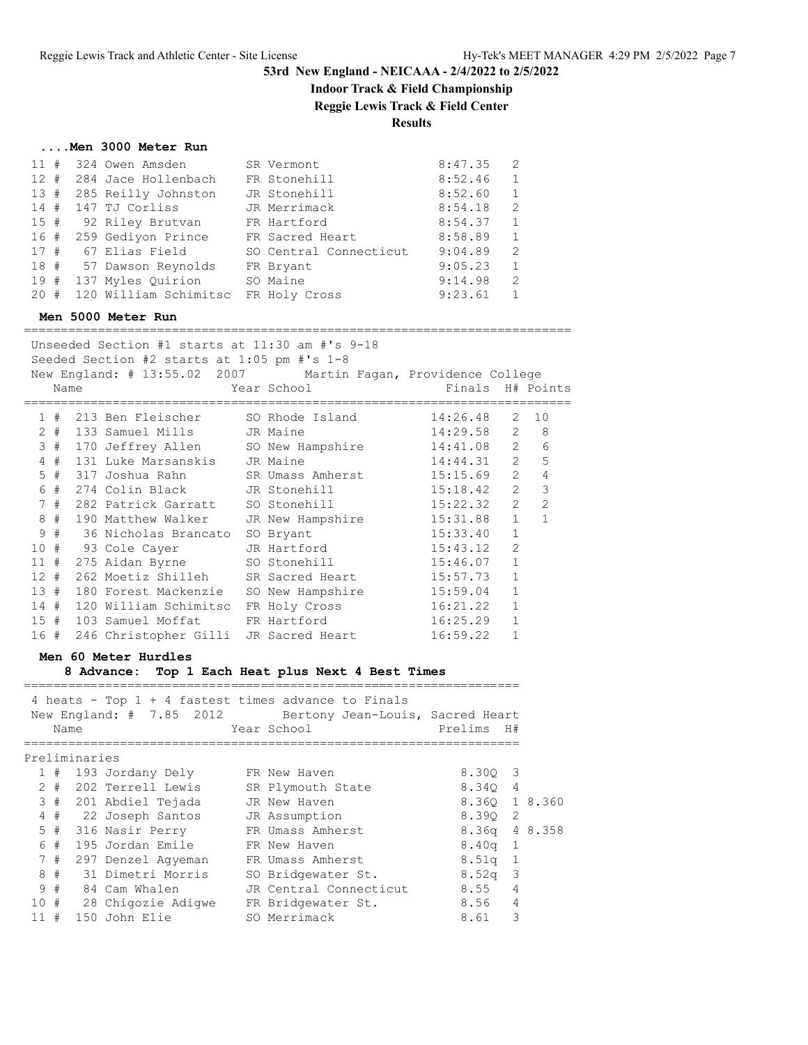## **Indoor Track & Field Championship**

**Reggie Lewis Track & Field Center**

## **Results**

|  | Men 3000 Meter Run |  |
|--|--------------------|--|
|  |                    |  |

| 11# | 324 Owen Amsden         | SR Vermont             | 8:47.35 | 2            |
|-----|-------------------------|------------------------|---------|--------------|
| 12# | 284 Jace Hollenbach     | FR Stonehill           | 8:52.46 | 1            |
| 13# | 285 Reilly Johnston     | JR Stonehill           | 8:52.60 | $\mathbf{1}$ |
|     | 14 # 147 TJ Corliss     | JR Merrimack           | 8:54.18 | 2            |
| 15# | 92 Riley Brutvan        | FR Hartford            | 8:54.37 | $\mathbf{1}$ |
|     | 16 # 259 Gediyon Prince | FR Sacred Heart        | 8:58.89 | $\mathbf{1}$ |
| 17# | 67 Elias Field          | SO Central Connecticut | 9:04.89 | 2            |
| 18# | 57 Dawson Reynolds      | FR Bryant              | 9:05.23 | $\mathbf{1}$ |
| 19# | 137 Myles Quirion       | SO Maine               | 9:14.98 | 2            |
| 20# | 120 William Schimitsc   | FR Holy Cross          | 9:23.61 | $\mathbf{1}$ |
|     |                         |                        |         |              |

### **Men 5000 Meter Run**

| Unseeded Section #1 starts at $11:30$ am #'s $9-18$<br>Seeded Section #2 starts at 1:05 pm #'s 1-8 |      |                                                               |  |                                                          |                |                |                |
|----------------------------------------------------------------------------------------------------|------|---------------------------------------------------------------|--|----------------------------------------------------------|----------------|----------------|----------------|
|                                                                                                    |      | New England: # 13:55.02 2007 Martin Fagan, Providence College |  |                                                          |                |                |                |
|                                                                                                    | Name |                                                               |  | Year School                           Finals   H# Points |                |                |                |
|                                                                                                    |      | 1 # 213 Ben Fleischer SO Rhode Island                         |  |                                                          | 14:26.48       |                | $2 \t10$       |
|                                                                                                    |      | 2 # 133 Samuel Mills JR Maine                                 |  |                                                          | $14:29.58$ 2 8 |                |                |
|                                                                                                    |      | 3 # 170 Jeffrey Allen SO New Hampshire 14:41.08 2             |  |                                                          |                |                | 6              |
|                                                                                                    |      | 4 # 131 Luke Marsanskis JR Maine                              |  |                                                          | $14:44.31$ 2   |                | 5              |
|                                                                                                    |      | 5 # 317 Joshua Rahn SR Umass Amherst 15:15.69 2               |  |                                                          |                |                | $\overline{4}$ |
|                                                                                                    |      | 6 # 274 Colin Black JR Stonehill                              |  |                                                          | 15:18.42       | 2              | 3              |
|                                                                                                    |      | 7 # 282 Patrick Garratt SO Stonehill 15:22.32                 |  |                                                          |                | $\overline{2}$ | $\overline{2}$ |
|                                                                                                    |      | 8 # 190 Matthew Walker JR New Hampshire 15:31.88 1            |  |                                                          |                |                | $\overline{1}$ |
| 9                                                                                                  |      | # 36 Nicholas Brancato                                        |  | SO Bryant                                                | 15:33.40       | $\mathbf{1}$   |                |
|                                                                                                    |      | 10 # 93 Cole Cayer JR Hartford 15:43.12                       |  |                                                          |                | $\overline{2}$ |                |
|                                                                                                    |      | 11 # 275 Aidan Byrne SO Stonehill 15:46.07                    |  |                                                          |                | $\mathbf{1}$   |                |
|                                                                                                    |      | 12 # 262 Moetiz Shilleh SR Sacred Heart 15:57.73              |  |                                                          |                | $\mathbf{1}$   |                |
|                                                                                                    |      | 13 # 180 Forest Mackenzie SO New Hampshire 15:59.04           |  |                                                          |                | $\mathbf{1}$   |                |
|                                                                                                    |      | 14 # 120 William Schimitsc                                    |  | FR Holy Cross 16:21.22                                   |                | $\mathbf{1}$   |                |
|                                                                                                    |      | 15 # 103 Samuel Moffat                                        |  | FR Hartford                                              | 16:25.29       | $\mathbf{1}$   |                |
|                                                                                                    |      | 16 # 246 Christopher Gilli JR Sacred Heart                    |  |                                                          | 16:59.22       | 1              |                |
|                                                                                                    |      |                                                               |  |                                                          |                |                |                |

# **Men 60 Meter Hurdles**

**8 Advance: Top 1 Each Heat plus Next 4 Best Times**

|          | Name |               |                                   | 4 heats - Top $1 + 4$ fastest times advance to Finals<br>New England: # 7.85 2012 Bertony Jean-Louis, Sacred Heart<br>Year School | Prelims       | H#             |  |
|----------|------|---------------|-----------------------------------|-----------------------------------------------------------------------------------------------------------------------------------|---------------|----------------|--|
|          |      | Preliminaries |                                   |                                                                                                                                   |               |                |  |
|          |      |               | 1 # 193 Jordany Dely FR New Haven |                                                                                                                                   | 8.300 3       |                |  |
|          |      |               | 2 # 202 Terrell Lewis             | SR Plymouth State                                                                                                                 | 8.340 4       |                |  |
|          |      |               | 3 # 201 Abdiel Tejada             | JR New Haven                                                                                                                      | 8.360 1 8.360 |                |  |
|          |      |               | 4 # 22 Joseph Santos              | JR Assumption                                                                                                                     | 8.390 2       |                |  |
|          |      |               | 5 # 316 Nasir Perry               | FR Umass Amherst                                                                                                                  | 8.36q 4 8.358 |                |  |
|          |      |               | 6 # 195 Jordan Emile              | FR New Haven                                                                                                                      | $8.40q$ 1     |                |  |
|          |      |               | 7 # 297 Denzel Agyeman            | FR Umass Amherst                                                                                                                  | $8.51q$ 1     |                |  |
|          | 8#   |               | 31 Dimetri Morris                 | SO Bridgewater St.                                                                                                                | $8.52q$ 3     |                |  |
|          | 9#   |               | 84 Cam Whalen                     | JR Central Connecticut                                                                                                            | 8.55          | $\overline{4}$ |  |
|          |      |               | 10 # 28 Chigozie Adiqwe           | FR Bridgewater St.                                                                                                                | 8.56          | $\overline{4}$ |  |
| $11 \pm$ |      |               | 150 John Elie                     | SO Merrimack                                                                                                                      | 8.61          | 3              |  |
|          |      |               |                                   |                                                                                                                                   |               |                |  |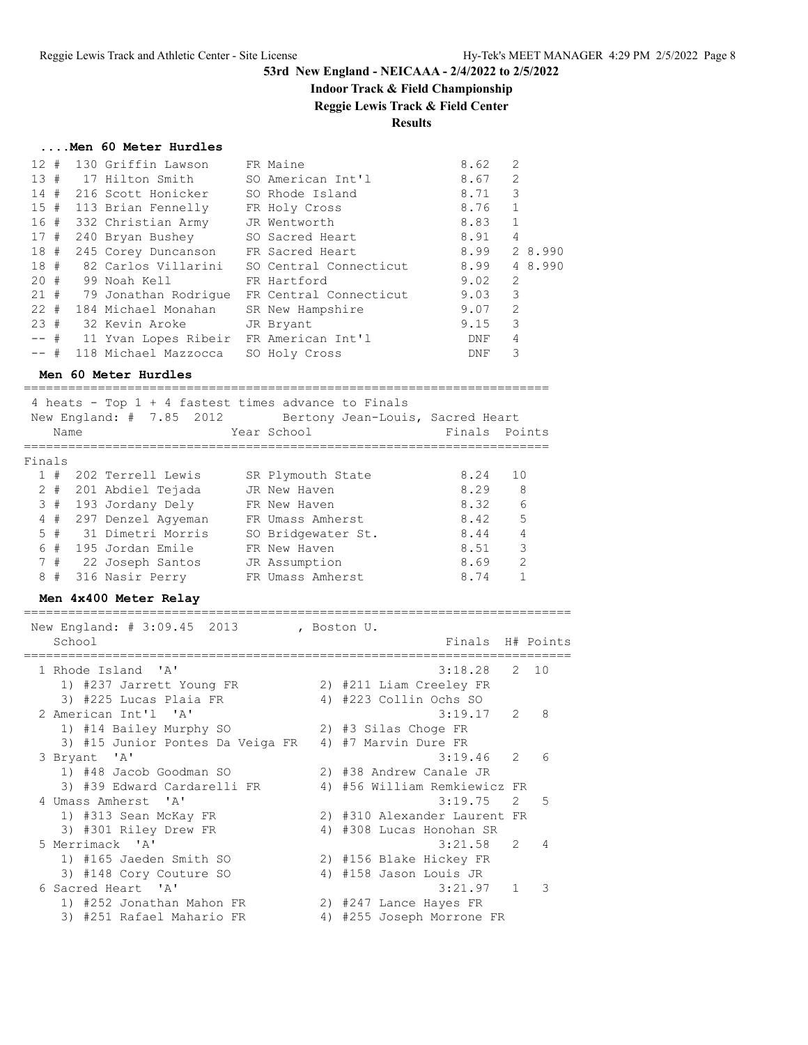## **Indoor Track & Field Championship**

**Reggie Lewis Track & Field Center**

### **Results**

#### **....Men 60 Meter Hurdles**

| $12 +$   |  | 130 Griffin Lawson        | FR Maine               | 8.62 | 2              |         |
|----------|--|---------------------------|------------------------|------|----------------|---------|
|          |  | 13 # 17 Hilton Smith      | SO American Int'l      | 8.67 | 2              |         |
| 14#      |  | 216 Scott Honicker        | SO Rhode Island        | 8.71 | 3              |         |
|          |  | 15 # 113 Brian Fennelly   | FR Holy Cross          | 8.76 | $\mathbf{1}$   |         |
|          |  | 16 # 332 Christian Army   | JR Wentworth           | 8.83 | $\mathbf{1}$   |         |
| 17#      |  | 240 Bryan Bushey          | SO Sacred Heart        | 8.91 | $\overline{4}$ |         |
|          |  | 18 # 245 Corey Duncanson  | FR Sacred Heart        | 8.99 |                | 2 8.990 |
|          |  | 18 # 82 Carlos Villarini  | SO Central Connecticut | 8.99 |                | 4 8.990 |
| $20 +$   |  | 99 Noah Kell              | FR Hartford            | 9.02 | $\overline{2}$ |         |
|          |  | 21 # 79 Jonathan Rodrique | FR Central Connecticut | 9.03 | 3              |         |
| $22 \pm$ |  | 184 Michael Monahan       | SR New Hampshire       | 9.07 | 2              |         |
| 23#      |  | 32 Kevin Aroke            | JR Bryant              | 9.15 | 3              |         |
| $--$ #   |  | 11 Yvan Lopes Ribeir      | FR American Int'l      | DNF  | 4              |         |
| $--$ #   |  | 118 Michael Mazzocca      | SO Holy Cross          | DNF  | 3              |         |

#### **Men 60 Meter Hurdles**

======================================================================= 4 heats - Top 1 + 4 fastest times advance to Finals New England: # 7.85 2012 Bertony Jean-Louis, Sacred Heart Name Year School Finals Points ======================================================================= Finals 1 # 202 Terrell Lewis SR Plymouth State 8.24 10 2 # 201 Abdiel Tejada JR New Haven 8.29 8 3 # 193 Jordany Dely FR New Haven 8.32 6 4 # 297 Denzel Agyeman FR Umass Amherst 8.42 5 5 # 31 Dimetri Morris SO Bridgewater St. 8.44 4 6 # 195 Jordan Emile FR New Haven 8.51 3 7 # 22 Joseph Santos JR Assumption 8.69 2 8 # 316 Nasir Perry FR Umass Amherst 8.74 1

### **Men 4x400 Meter Relay**

========================================================================== New England: # 3:09.45 2013 , Boston U. School **Finals H**# Points ========================================================================== 1 Rhode Island 'A' 3:18.28 2 10 1) #237 Jarrett Young FR 2) #211 Liam Creeley FR 3) #225 Lucas Plaia FR 4) #223 Collin Ochs SO 2 American Int'l 'A' 3:19.17 2 8 1) #14 Bailey Murphy SO 2) #3 Silas Choge FR 3) #15 Junior Pontes Da Veiga FR 4) #7 Marvin Dure FR 3 Bryant 'A' 3:19.46 2 6 1) #48 Jacob Goodman SO 2) #38 Andrew Canale JR 3) #39 Edward Cardarelli FR 4) #56 William Remkiewicz FR 4 Umass Amherst 'A' 3:19.75 2 5 1) #313 Sean McKay FR 2) #310 Alexander Laurent FR 3) #301 Riley Drew FR 4) #308 Lucas Honohan SR 5 Merrimack 'A' 3:21.58 2 4 1) #165 Jaeden Smith SO 2) #156 Blake Hickey FR 3) #148 Cory Couture SO 4) #158 Jason Louis JR 6 Sacred Heart 'A' 3:21.97 1 3 1) #252 Jonathan Mahon FR 2) #247 Lance Hayes FR 3) #251 Rafael Mahario FR 4) #255 Joseph Morrone FR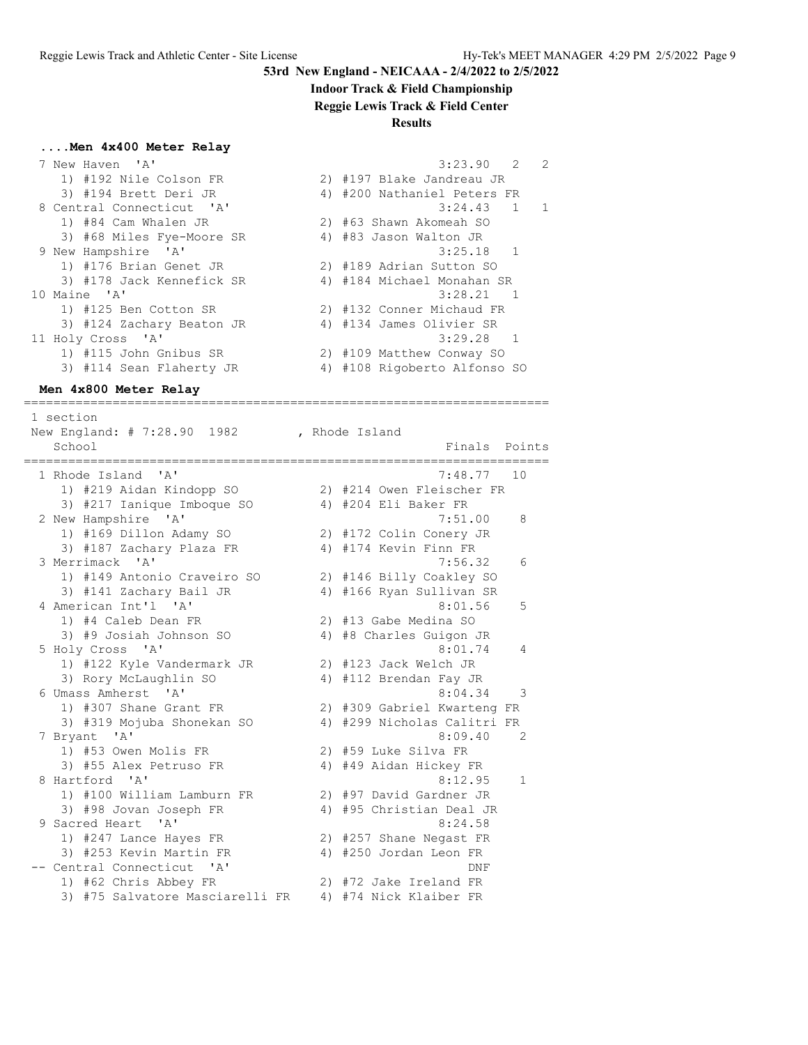### **Indoor Track & Field Championship**

**Reggie Lewis Track & Field Center**

#### **Results**

### **....Men 4x400 Meter Relay**

|              | 7 New Haven 'A'           | 3:23.90 2<br>$\overline{2}$  |    |
|--------------|---------------------------|------------------------------|----|
|              | 1) #192 Nile Colson FR    | 2) #197 Blake Jandreau JR    |    |
|              | 3) #194 Brett Deri JR     | 4) #200 Nathaniel Peters FR  |    |
|              | 8 Central Connecticut 'A' | $3:24.43$ 1                  | -1 |
|              | 1) #84 Cam Whalen JR      | 2) #63 Shawn Akomeah SO      |    |
|              | 3) #68 Miles Fye-Moore SR | 4) #83 Jason Walton JR       |    |
|              | 9 New Hampshire 'A'       | $3:25.18$ 1                  |    |
|              | 1) #176 Brian Genet JR    | 2) #189 Adrian Sutton SO     |    |
|              | 3) #178 Jack Kennefick SR | 4) #184 Michael Monahan SR   |    |
| 10 Maine 'A' |                           | $3:28.21$ 1                  |    |
|              | 1) #125 Ben Cotton SR     | 2) #132 Conner Michaud FR    |    |
|              | 3) #124 Zachary Beaton JR | 4) #134 James Olivier SR     |    |
|              | 11 Holy Cross 'A'         | $3:29.28$ 1                  |    |
|              | 1) #115 John Gnibus SR    | 2) #109 Matthew Conway SO    |    |
|              | 3) #114 Sean Flaherty JR  | 4) #108 Rigoberto Alfonso SO |    |
|              |                           |                              |    |

=======================================================================

#### **Men 4x800 Meter Relay**

 1 section New England: # 7:28.90 1982 , Rhode Island School **Finals** Points ======================================================================= 1 Rhode Island 'A' 7:48.77 10 1) #219 Aidan Kindopp SO 2) #214 Owen Fleischer FR 3) #217 Ianique Imboque SO 4) #204 Eli Baker FR 2 New Hampshire 'A' 7:51.00 8 1) #169 Dillon Adamy SO 2) #172 Colin Conery JR 3) #187 Zachary Plaza FR 4) #174 Kevin Finn FR 3 Merrimack 'A' 7:56.32 6 1) #149 Antonio Craveiro SO 2) #146 Billy Coakley SO 3) #141 Zachary Bail JR 4) #166 Ryan Sullivan SR 4 American Int'l 'A' 8:01.56 5 1) #4 Caleb Dean FR 2) #13 Gabe Medina SO 3) #9 Josiah Johnson SO 4) #8 Charles Guigon JR 5 Holy Cross 'A' 8:01.74 4 1) #122 Kyle Vandermark JR 2) #123 Jack Welch JR 3) Rory McLaughlin SO 4) #112 Brendan Fay JR 6 Umass Amherst 'A' 8:04.34 3 1) #307 Shane Grant FR 2) #309 Gabriel Kwarteng FR 3) #319 Mojuba Shonekan SO 4) #299 Nicholas Calitri FR 7 Bryant 'A' 8:09.40 2 1) #53 Owen Molis FR 2) #59 Luke Silva FR 3) #55 Alex Petruso FR 4) #49 Aidan Hickey FR 8 Hartford 'A' 8:12.95 1 1) #100 William Lamburn FR 2) #97 David Gardner JR 3) #98 Jovan Joseph FR 4) #95 Christian Deal JR 9 Sacred Heart 'A' 8:24.58 1) #247 Lance Hayes FR 2) #257 Shane Negast FR 3) #253 Kevin Martin FR 4) #250 Jordan Leon FR -- Central Connecticut 'A' DNF 1) #62 Chris Abbey FR 2) #72 Jake Ireland FR 3) #75 Salvatore Masciarelli FR 4) #74 Nick Klaiber FR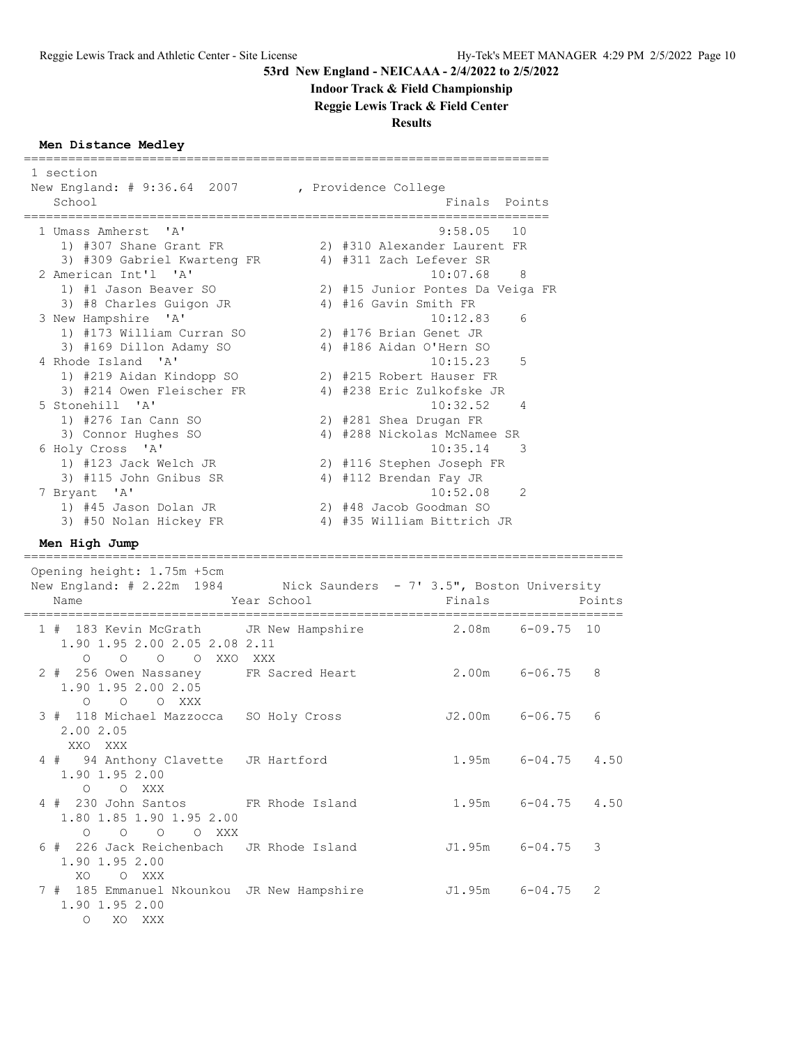# **Indoor Track & Field Championship**

**Reggie Lewis Track & Field Center**

**Results**

## **Men Distance Medley**

| 1 section<br>New England: # 9:36.64 2007 , Providence College<br>School                            |                                            |                                       | Finals Points            |        |
|----------------------------------------------------------------------------------------------------|--------------------------------------------|---------------------------------------|--------------------------|--------|
| 1 Umass Amherst 'A'                                                                                |                                            | $9:58.05$ 10                          |                          |        |
| 1) #307 Shane Grant FR                                                                             |                                            | 2) #310 Alexander Laurent FR          |                          |        |
| 3) #309 Gabriel Kwarteng FR 4) #311 Zach Lefever SR                                                |                                            |                                       |                          |        |
| 2 American Int'l 'A'                                                                               |                                            | 10:07.68                              | 8                        |        |
| 1) #1 Jason Beaver SO                                                                              |                                            | 2) #15 Junior Pontes Da Veiga FR      |                          |        |
| 3) #8 Charles Guigon JR                                                                            |                                            | 4) #16 Gavin Smith FR                 |                          |        |
| 3 New Hampshire 'A'                                                                                |                                            | 10:12.83                              | 6                        |        |
| 1) #173 William Curran SO                                                                          |                                            | 2) #176 Brian Genet JR                |                          |        |
| 3) #169 Dillon Adamy SO                                                                            |                                            | 4) #186 Aidan O'Hern SO               |                          |        |
| 4 Rhode Island 'A'                                                                                 |                                            | 10:15.23                              | 5                        |        |
| 1) #219 Aidan Kindopp SO<br>3) #214 Owen Fleischer FR                                              |                                            | 2) #215 Robert Hauser FR              |                          |        |
| 5 Stonehill 'A'                                                                                    |                                            | 4) #238 Eric Zulkofske JR<br>10:32.52 | 4                        |        |
| 1) #276 Ian Cann SO                                                                                |                                            | 2) #281 Shea Drugan FR                |                          |        |
| 3) Connor Hughes SO                                                                                |                                            | 4) #288 Nickolas McNamee SR           |                          |        |
| 6 Holy Cross 'A'                                                                                   |                                            | 10:35.14                              | $\overline{\phantom{a}}$ |        |
| 1) #123 Jack Welch JR                                                                              |                                            | 2) #116 Stephen Joseph FR             |                          |        |
| 3) #115 John Gnibus SR                                                                             |                                            | 4) #112 Brendan Fay JR                |                          |        |
| 7 Bryant 'A'                                                                                       |                                            | 10:52.08                              | 2                        |        |
| 1) #45 Jason Dolan JR                                                                              |                                            | 2) #48 Jacob Goodman SO               |                          |        |
| 3) #50 Nolan Hickey FR                                                                             |                                            | 4) #35 William Bittrich JR            |                          |        |
| Men High Jump                                                                                      |                                            |                                       |                          |        |
|                                                                                                    |                                            |                                       |                          |        |
| Opening height: 1.75m +5cm<br>New England: # 2.22m 1984 Nick Saunders - 7' 3.5", Boston University |                                            |                                       |                          |        |
| Name                                                                                               | Year School<br>;========================== | Finals                                |                          | Points |
| 1 # 183 Kevin McGrath JR New Hampshire 2.08m 6-09.75 10<br>1.90 1.95 2.00 2.05 2.08 2.11           |                                            |                                       |                          |        |
| O O O XXO XXX<br>$\circ$<br>2 # 256 Owen Nassaney FR Sacred Heart<br>1.90 1.95 2.00 2.05           |                                            | 2.00m                                 | 6-06.75                  | 8      |
| O O XXX<br>$\circ$<br>3 # 118 Michael Mazzocca SO Holy Cross<br>2.00 2.05                          |                                            | J2.00m                                | $6 - 06.75$              | 6      |
| XXO XXX<br>4 # 94 Anthony Clavette JR Hartford<br>1.90 1.95 2.00                                   |                                            |                                       | 1.95m 6-04.75 4.50       |        |
| O O XXX<br>4 # 230 John Santos FR Rhode Island<br>1.80 1.85 1.90 1.95 2.00                         |                                            |                                       | 1.95m 6-04.75 4.50       |        |
| 0 0 0 0 XXX<br>6 # 226 Jack Reichenbach<br>1.90 1.95 2.00<br>O XXX<br>XO.                          | JR Rhode Island                            | J1.95m                                | $6 - 04.75$              | 3      |

O XO XXX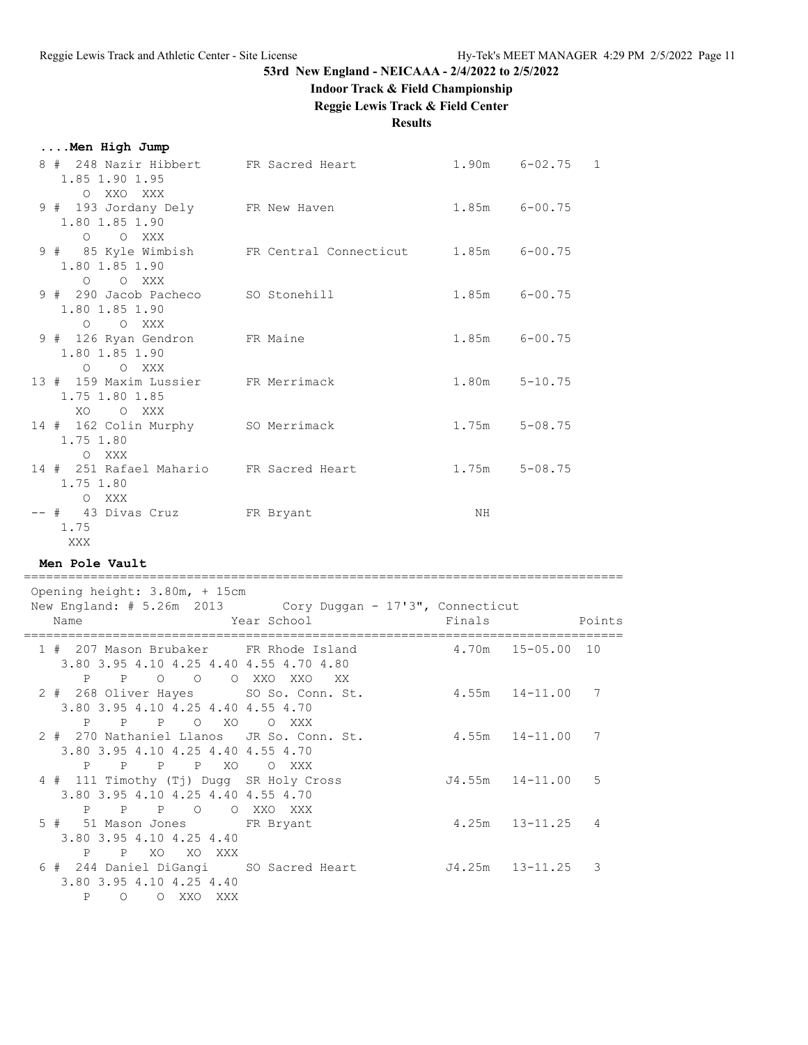### **Indoor Track & Field Championship**

**Reggie Lewis Track & Field Center**

**Results**

|  |  |  |  | Men High Jump |  |
|--|--|--|--|---------------|--|
|--|--|--|--|---------------|--|

| 8 # 248 Nazir Hibbert FR Sacred Heart<br>1.85 1.90 1.95<br>O XXO XXX |                                                          |                   | $1.90m$ $6-02.75$ 1 |
|----------------------------------------------------------------------|----------------------------------------------------------|-------------------|---------------------|
| 9 # 193 Jordany Dely FR New Haven<br>1.80 1.85 1.90                  |                                                          | 1.85m 6-00.75     |                     |
| O O XXX<br>1.80 1.85 1.90                                            | 9 # 85 Kyle Wimbish FR Central Connecticut 1.85m 6-00.75 |                   |                     |
| O O XXX<br>9 # 290 Jacob Pacheco SO Stonehill<br>1.80 1.85 1.90      |                                                          | $1.85m$ $6-00.75$ |                     |
| O O XXX<br>9 # 126 Ryan Gendron FR Maine<br>1.80 1.85 1.90           |                                                          | 1.85m 6-00.75     |                     |
| O O XXX<br>13 # 159 Maxim Lussier FR Merrimack<br>1.75 1.80 1.85     |                                                          |                   | $1.80m$ $5-10.75$   |
| XO OXXX<br>14 # 162 Colin Murphy SO Merrimack<br>1.75 1.80           |                                                          | $1.75m$ $5-08.75$ |                     |
| O XXX<br>14 # 251 Rafael Mahario FR Sacred Heart<br>1.75 1.80        |                                                          | $1.75m$ $5-08.75$ |                     |
| O XXX<br>-- # 43 Divas Cruz FR Bryant<br>1.75<br>XXX X               |                                                          | ΝH                |                     |

**Men Pole Vault**

 Opening height: 3.80m, + 15cm New England: # 5.26m 2013 Cory Duggan - 17'3", Connecticut Name Year School Finals Points ================================================================================= 1 # 207 Mason Brubaker FR Rhode Island 4.70m 15-05.00 10 3.80 3.95 4.10 4.25 4.40 4.55 4.70 4.80 P P O O O XXO XXO XX 2 # 268 Oliver Hayes SO So. Conn. St. 4.55m 14-11.00 7 3.80 3.95 4.10 4.25 4.40 4.55 4.70 P P P O XO O XXX 2 # 270 Nathaniel Llanos JR So. Conn. St. 4.55m 14-11.00 7 3.80 3.95 4.10 4.25 4.40 4.55 4.70 P P P P XO O XXX 4 # 111 Timothy (Tj) Dugg SR Holy Cross J4.55m 14-11.00 5 3.80 3.95 4.10 4.25 4.40 4.55 4.70 P P P O O XXO XXX 5 # 51 Mason Jones FR Bryant 4.25m 13-11.25 4 3.80 3.95 4.10 4.25 4.40 P P XO XO XXX 6 # 244 Daniel DiGangi SO Sacred Heart J4.25m 13-11.25 3 3.80 3.95 4.10 4.25 4.40 P O O XXO XXX

=================================================================================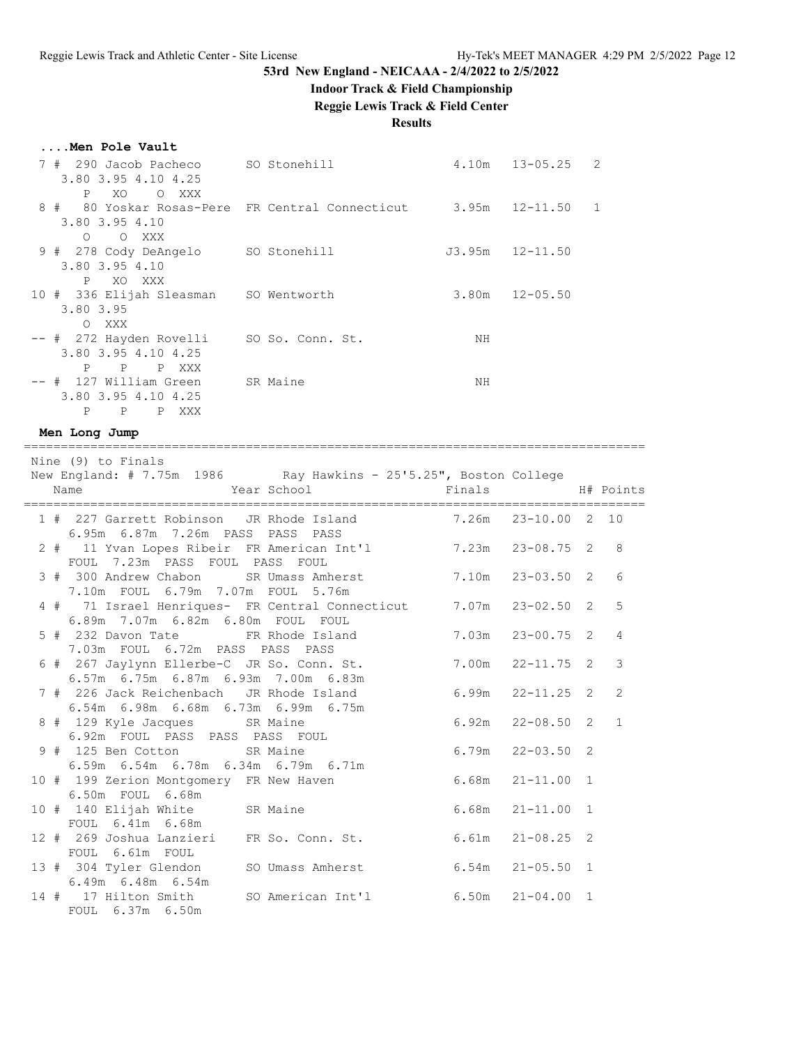# **Indoor Track & Field Championship**

**Reggie Lewis Track & Field Center**

## **Results**

====================================================================================

|  | Men Pole Vault |
|--|----------------|
|  |                |

| SO Stonehill<br>290 Jacob Pacheco<br>3.80 3.95 4.10 4.25           | 4.10m | 13-05.25                                    | 2               |
|--------------------------------------------------------------------|-------|---------------------------------------------|-----------------|
| XXX                                                                |       | 12-11.50                                    | 1               |
| 9 # 278 Cody DeAngelo<br>SO Stonehill                              |       | $12 - 11.50$                                |                 |
| 10 # 336 Elijah Sleasman SO Wentworth                              | 3.80m | $12 - 05.50$                                |                 |
| -- # 272 Hayden Rovelli<br>SO So. Conn. St.<br>3.80 3.95 4.10 4.25 | ΝH    |                                             |                 |
| XXX<br>127 William Green<br>SR Maine<br>3.80 3.95 4.10 4.25        | ΝH    |                                             |                 |
|                                                                    | XXX   | 80 Yoskar Rosas-Pere FR Central Connecticut | 3.95m<br>J3.95m |

## **Men Long Jump**

| Nine (9) to Finals<br>New England: # 7.75m 1986 Ray Hawkins - 25'5.25", Boston College                |                      |                          |                |
|-------------------------------------------------------------------------------------------------------|----------------------|--------------------------|----------------|
| Name Name Year School Finals Finals H# Points                                                         |                      |                          |                |
| 1 # 227 Garrett Robinson JR Rhode Island 7.26m 23-10.00 2 10<br>6.95m 6.87m 7.26m PASS PASS PASS      |                      |                          |                |
| 2 # 11 Yvan Lopes Ribeir FR American Int'l 3.23m 23-08.75 2 8<br>FOUL 7.23m PASS FOUL PASS FOUL       |                      |                          |                |
| 3 # 300 Andrew Chabon SR Umass Amherst 7.10m 23-03.50 2<br>7.10m FOUL 6.79m 7.07m FOUL 5.76m          |                      |                          | 6              |
| 4 # 71 Israel Henriques- FR Central Connecticut 7.07m 23-02.50 2<br>6.89m 7.07m 6.82m 6.80m FOUL FOUL |                      |                          | 5              |
| 5 # 232 Davon Tate FR Rhode Island<br>7.03m FOUL 6.72m PASS PASS PASS                                 |                      | $7.03m$ $23-00.75$ 2     | $\overline{4}$ |
| 6 # 267 Jaylynn Ellerbe-C JR So. Conn. St. 7.00m 22-11.75 2<br>6.57m 6.75m 6.87m 6.93m 7.00m 6.83m    |                      |                          | 3              |
| 7 # 226 Jack Reichenbach JR Rhode Island<br>6.54m 6.98m 6.68m 6.73m 6.99m 6.75m                       | $6.99m$ $22-11.25$ 2 |                          | 2              |
| 8 # 129 Kyle Jacques SR Maine<br>6.92m FOUL PASS PASS PASS FOUL                                       |                      | $6.92m$ $22-08.50$ $2$ 1 |                |
| 9 # 125 Ben Cotton SR Maine<br>6.59m 6.54m 6.78m 6.34m 6.79m 6.71m                                    |                      | $6.79m$ $22-03.50$ 2     |                |
| 10 # 199 Zerion Montgomery FR New Haven<br>6.50m FOUL 6.68m                                           | $6.68m$ $21-11.00$ 1 |                          |                |
| 10 # 140 Elijah White SR Maine<br>FOUL 6.41m 6.68m                                                    |                      | $6.68m$ $21-11.00$ 1     |                |
| 12 # 269 Joshua Lanzieri FR So. Conn. St. 6.61m 21-08.25 2<br>FOUL 6.61m FOUL                         |                      |                          |                |
| 13 # 304 Tyler Glendon SO Umass Amherst 6.54m 21-05.50 1<br>6.49m 6.48m 6.54m                         |                      |                          |                |
| 14 # 17 Hilton Smith SO American Int'l 6.50m 21-04.00 1<br>FOUL 6.37m 6.50m                           |                      |                          |                |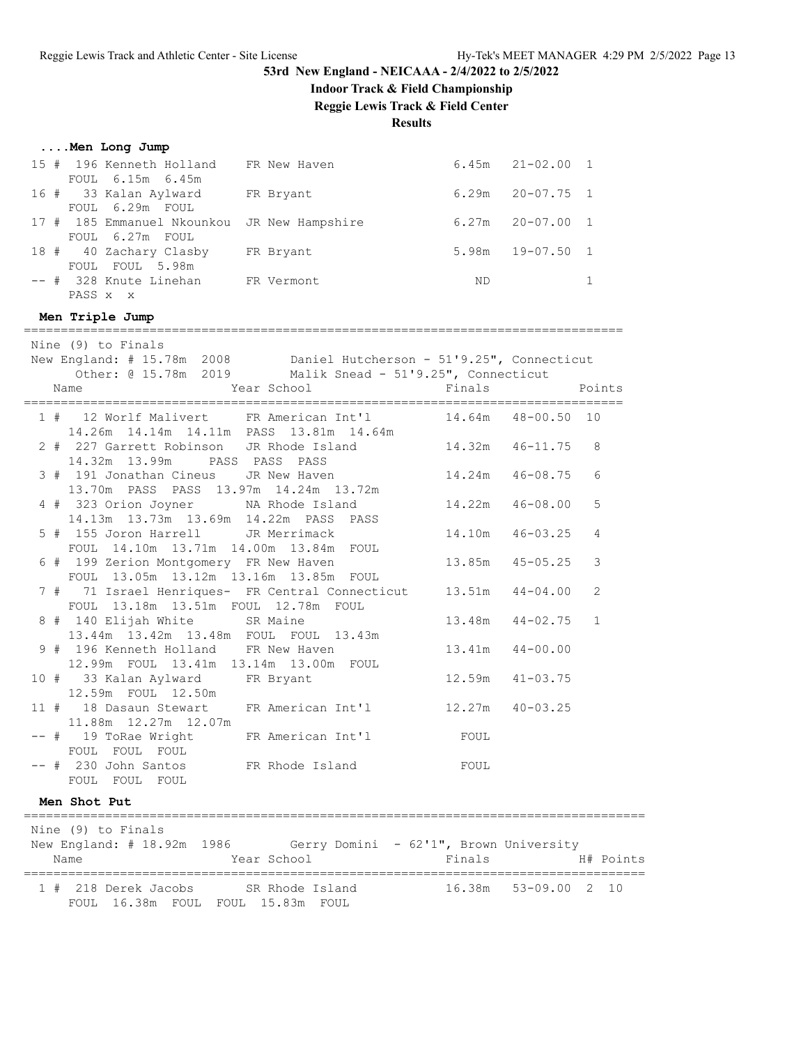**....Men Long Jump**

# **53rd New England - NEICAAA - 2/4/2022 to 2/5/2022**

# **Indoor Track & Field Championship**

**Reggie Lewis Track & Field Center**

**Results**

| 15 # 196 Kenneth Holland FR New Haven<br>FOUL 6.15m 6.45m                          |                                                                                                                                  |        | $6.45m$ $21-02.00$ 1 |              |
|------------------------------------------------------------------------------------|----------------------------------------------------------------------------------------------------------------------------------|--------|----------------------|--------------|
| 16 # 33 Kalan Aylward FR Bryant<br>FOUL 6.29m FOUL                                 |                                                                                                                                  |        | $6.29m$ $20-07.75$ 1 |              |
| 17 # 185 Emmanuel Nkounkou JR New Hampshire<br>FOUL 6.27m FOUL                     |                                                                                                                                  |        | $6.27m$ $20-07.00$   | $\mathbf{1}$ |
| 18 # 40 Zachary Clasby FR Bryant<br>FOUL FOUL 5.98m                                |                                                                                                                                  |        | $5.98m$ $19-07.50$   | $\mathbf{1}$ |
| -- # 328 Knute Linehan FR Vermont<br>PASS x x                                      |                                                                                                                                  | ND     |                      | $\mathbf{1}$ |
| Men Triple Jump                                                                    |                                                                                                                                  |        |                      |              |
|                                                                                    |                                                                                                                                  |        |                      |              |
| Nine (9) to Finals                                                                 |                                                                                                                                  |        |                      |              |
|                                                                                    | New England: # 15.78m 2008 Daniel Hutcherson - 51'9.25", Connecticut<br>Other: @ 15.78m 2019 Malik Snead - 51'9.25", Connecticut |        |                      |              |
| Name                                                                               | Year School                                                                                                                      | Finals | Points               |              |
|                                                                                    |                                                                                                                                  |        |                      |              |
| 14.26m  14.14m  14.11m  PASS  13.81m  14.64m                                       | 1 # 12 Worlf Malivert FR American Int'l 14.64m 48-00.50 10                                                                       |        |                      |              |
| 14.32m 13.99m PASS PASS PASS                                                       | 2 # 227 Garrett Robinson JR Rhode Island 14.32m 46-11.75 8                                                                       |        |                      |              |
| 3 # 191 Jonathan Cineus JR New Haven<br>13.70m PASS PASS 13.97m 14.24m 13.72m      |                                                                                                                                  |        | 14.24m 46-08.75      | 6            |
| 4 # 323 Orion Joyner NA Rhode Island<br>14.13m  13.73m  13.69m  14.22m  PASS  PASS |                                                                                                                                  |        | 14.22m  46-08.00     | 5            |
| 5 # 155 Joron Harrell JR Merrimack<br>FOUL 14.10m 13.71m 14.00m 13.84m FOUL        |                                                                                                                                  |        | 14.10m  46-03.25     | 4            |
| 6 # 199 Zerion Montgomery FR New Haven<br>FOUL 13.05m 13.12m 13.16m 13.85m FOUL    |                                                                                                                                  |        | 13.85m 45-05.25      | 3            |
| FOUL 13.18m 13.51m FOUL 12.78m FOUL                                                | 7 # 71 Israel Henriques- FR Central Connecticut 13.51m 44-04.00                                                                  |        |                      | 2            |
| 8 # 140 Elijah White SR Maine<br>13.44m 13.42m 13.48m FOUL FOUL 13.43m             |                                                                                                                                  |        | 13.48m  44-02.75  1  |              |
| 9 # 196 Kenneth Holland FR New Haven<br>12.99m FOUL 13.41m 13.14m 13.00m FOUL      |                                                                                                                                  |        | 13.41m  44-00.00     |              |
| 10 # 33 Kalan Aylward FR Bryant<br>12.59m FOUL 12.50m                              |                                                                                                                                  |        | $12.59m$ $41-03.75$  |              |
| 11.88m  12.27m  12.07m                                                             | 11 # 18 Dasaun Stewart FR American Int'l 12.27m 40-03.25                                                                         |        |                      |              |
| FOUL FOUL FOUL                                                                     | -- # 19 ToRae Wright FR American Int'l FOUL                                                                                      |        |                      |              |
| -- #  230 John Santos<br>FOUL FOUL FOUL                                            | FR Rhode Island                                                                                                                  | FOUL   |                      |              |
|                                                                                    |                                                                                                                                  |        |                      |              |
| Men Shot Put<br>====================================                               |                                                                                                                                  |        |                      |              |
| Nine (9) to Finals<br>Name                                                         | New England: # 18.92m 1986 Gerry Domini - 62'1", Brown University<br>Year School                                                 | Finals |                      | H# Points    |
|                                                                                    |                                                                                                                                  |        |                      |              |
| 1 # 218 Derek Jacobs SR Rhode Island<br>FOUL 16.38m FOUL FOUL 15.83m FOUL          |                                                                                                                                  | 16.38m | 53-09.00             | 2 10         |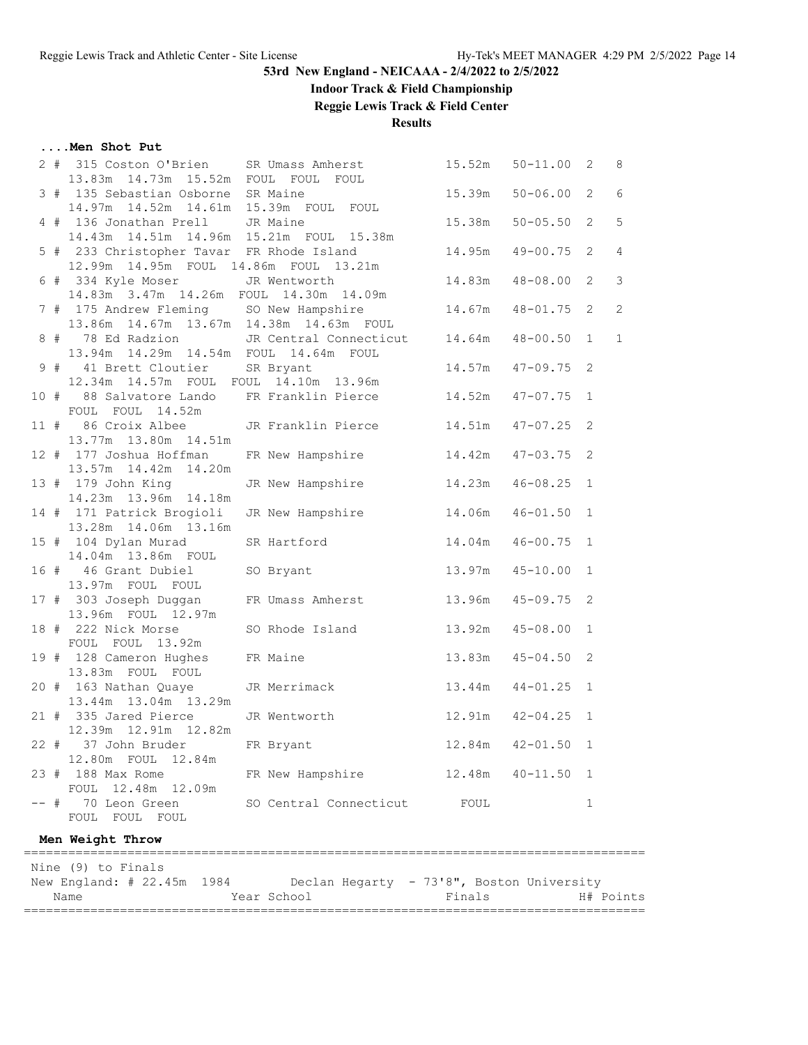## **Indoor Track & Field Championship**

**Reggie Lewis Track & Field Center**

**Results**

### **....Men Shot Put**

| Nine (9) to Finals<br>New England: # 22.45m 1984<br>Declan Hegarty - 73'8", Boston University |                                                                                  |                                                              |        |                     |              |               |  |  |  |
|-----------------------------------------------------------------------------------------------|----------------------------------------------------------------------------------|--------------------------------------------------------------|--------|---------------------|--------------|---------------|--|--|--|
|                                                                                               | Men Weight Throw                                                                 |                                                              |        |                     |              |               |  |  |  |
|                                                                                               | -- # 70 Leon Green<br>FOUL FOUL FOUL                                             | SO Central Connecticut                                       | FOUL   |                     | 1            |               |  |  |  |
|                                                                                               | 23 # 188 Max Rome<br>12.48m  12.09m<br>FOUL                                      | FR New Hampshire                                             |        | $12.48m$ $40-11.50$ | 1            |               |  |  |  |
|                                                                                               | 22 # 37 John Bruder FR Bryant<br>12.80m FOUL 12.84m                              |                                                              |        | 12.84m  42-01.50  1 |              |               |  |  |  |
|                                                                                               | 21 # 335 Jared Pierce JR Wentworth<br>12.39m  12.91m  12.82m                     | 12.91m  42-04.25  1                                          |        |                     |              |               |  |  |  |
|                                                                                               | 13.44m 13.04m 13.29m                                                             |                                                              |        |                     |              |               |  |  |  |
|                                                                                               | 13.83m FOUL FOUL<br>20 # 163 Nathan Quaye JR Merrimack                           | 13.44m                                                       |        | $44 - 01.25$ 1      |              |               |  |  |  |
|                                                                                               | FOUL FOUL 13.92m<br>19 # 128 Cameron Hughes FR Maine                             |                                                              | 13.83m | $45 - 04.50$        | 2            |               |  |  |  |
|                                                                                               | 13.96m FOUL 12.97m<br>18 # 222 Nick Morse                                        | SO Rhode Island 13.92m 45-08.00 1                            |        |                     |              |               |  |  |  |
|                                                                                               | 13.97m FOUL FOUL                                                                 | 17 # 303 Joseph Duggan FR Umass Amherst 13.96m               |        | $45 - 09.75$        | 2            |               |  |  |  |
|                                                                                               | 16 # 46 Grant Dubiel SO Bryant                                                   |                                                              |        | 13.97m 45-10.00 1   |              |               |  |  |  |
|                                                                                               | 15 # 104 Dylan Murad<br>14.04m 13.86m FOUL                                       | SR Hartford 14.04m                                           |        | $46 - 00.75$        | $\mathbf{1}$ |               |  |  |  |
|                                                                                               | 14 # 171 Patrick Brogioli<br>13.28m  14.06m  13.16m                              | JR New Hampshire                                             | 14.06m | $46 - 01.50$ 1      |              |               |  |  |  |
|                                                                                               | 13 # 179 John King<br>14.23m  13.96m  14.18m                                     | JR New Hampshire 14.23m                                      |        | $46 - 08.25$ 1      |              |               |  |  |  |
|                                                                                               | 12 # 177 Joshua Hoffman<br>13.57m  14.42m  14.20m                                | FR New Hampshire 14.42m 47-03.75 2                           |        |                     |              |               |  |  |  |
|                                                                                               | 13.77m 13.80m 14.51m                                                             | 11 # 86 Croix Albee JR Franklin Pierce 14.51m 47-07.25       |        |                     | 2            |               |  |  |  |
|                                                                                               | FOUL FOUL 14.52m                                                                 |                                                              |        |                     |              |               |  |  |  |
|                                                                                               | 12.34m  14.57m  FOUL  FOUL  14.10m  13.96m                                       | 10 # 88 Salvatore Lando FR Franklin Pierce 14.52m 47-07.75 1 |        |                     |              |               |  |  |  |
|                                                                                               | 13.94m  14.29m  14.54m  FOUL  14.64m  FOUL                                       | 9 # 41 Brett Cloutier SR Bryant                              |        | $14.57m$ $47-09.75$ | 2            |               |  |  |  |
|                                                                                               | 13.86m  14.67m  13.67m  14.38m  14.63m  FOUL                                     | 8 # 78 Ed Radzion JR Central Connecticut 14.64m              |        | $48 - 00.50$        | $\mathbf{1}$ | $\mathbf{1}$  |  |  |  |
|                                                                                               |                                                                                  | 7 # 175 Andrew Fleming SO New Hampshire 14.67m 48-01.75 2    |        |                     |              | 2             |  |  |  |
|                                                                                               | 6 # 334 Kyle Moser JR Wentworth<br>14.83m 3.47m 14.26m FOUL 14.30m 14.09m        |                                                              | 14.83m | 48-08.00 2          |              | $\mathcal{S}$ |  |  |  |
|                                                                                               | 5 # 233 Christopher Tavar FR Rhode Island                                        | 12.99m  14.95m  FOUL  14.86m  FOUL  13.21m                   |        | 14.95m  49-00.75    | 2            | 4             |  |  |  |
|                                                                                               | 4 # 136 Jonathan Prell JR Maine<br>14.43m  14.51m  14.96m  15.21m  FOUL  15.38m  |                                                              |        | $15.38m$ $50-05.50$ | 2            | 5             |  |  |  |
|                                                                                               | 3 # 135 Sebastian Osborne SR Maine<br>14.97m  14.52m  14.61m  15.39m  FOUL  FOUL |                                                              |        | $15.39m$ $50-06.00$ | 2            | 6             |  |  |  |
|                                                                                               | 13.83m  14.73m  15.52m  FOUL  FOUL  FOUL                                         |                                                              |        |                     |              |               |  |  |  |
|                                                                                               |                                                                                  | 2 # 315 Coston O'Brien SR Umass Amherst                      | 15.52m | $50 - 11.00$ 2      |              | 8             |  |  |  |

Name 1988 Manne 1988 Mear School 1988 Finals H# Points ====================================================================================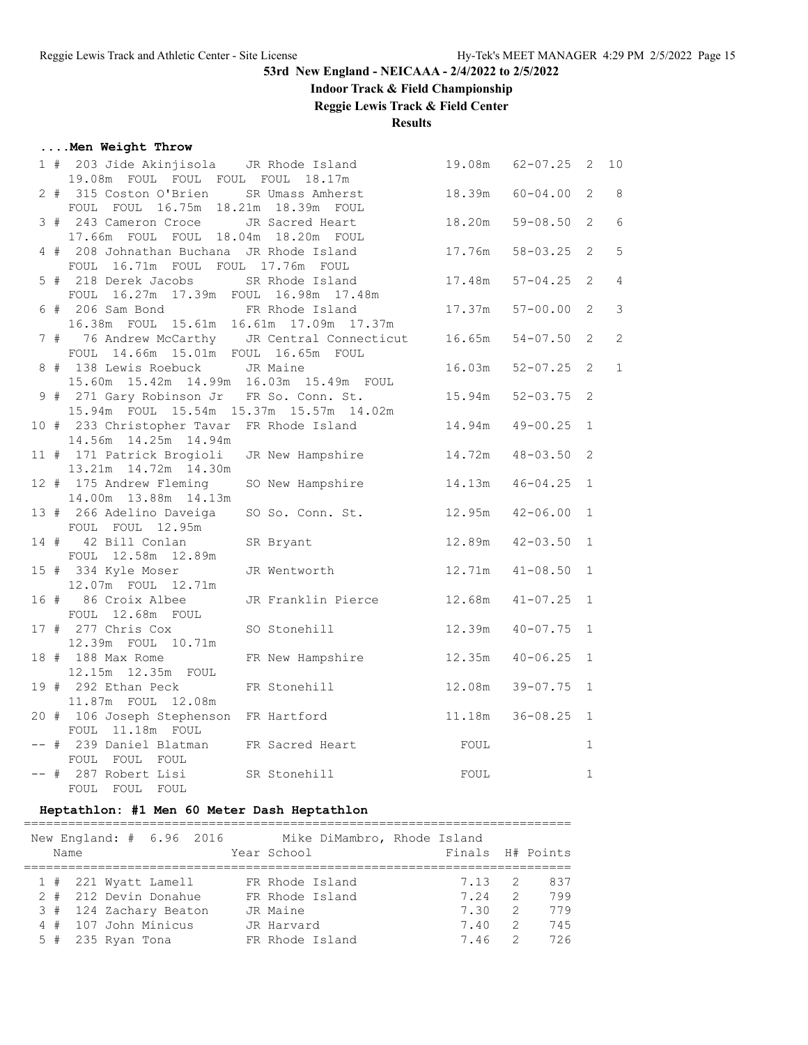## **Indoor Track & Field Championship**

**Reggie Lewis Track & Field Center**

## **Results**

## **....Men Weight Throw**

|  | 1 # 203 Jide Akinjisola   JR Rhode Island<br>19.08m FOUL FOUL FOUL FOUL 18.17m |                                                                 | 19.08m | $62 - 07.25$        | $\overline{2}$ | 10                        |
|--|--------------------------------------------------------------------------------|-----------------------------------------------------------------|--------|---------------------|----------------|---------------------------|
|  | 2 # 315 Coston O'Brien SR Umass Amherst                                        |                                                                 |        | 18.39m 60-04.00 2   |                | $\overline{\phantom{0}}8$ |
|  | FOUL FOUL 16.75m 18.21m 18.39m FOUL                                            |                                                                 |        |                     |                |                           |
|  | 3 # 243 Cameron Croce                                                          | JR Sacred Heart                                                 |        | 18.20m 59-08.50 2   |                | 6                         |
|  | 17.66m FOUL FOUL 18.04m 18.20m FOUL                                            |                                                                 |        |                     |                |                           |
|  | 4 # 208 Johnathan Buchana JR Rhode Island                                      |                                                                 |        | 17.76m 58-03.25 2   |                | 5                         |
|  | FOUL 16.71m FOUL FOUL 17.76m FOUL                                              |                                                                 |        |                     |                |                           |
|  | 5 # 218 Derek Jacobs SR Rhode Island                                           |                                                                 | 17.48m | $57 - 04.25$ 2      |                | $\overline{4}$            |
|  | FOUL 16.27m 17.39m FOUL 16.98m 17.48m                                          |                                                                 |        |                     |                |                           |
|  | 6 # 206 Sam Bond FR Rhode Island                                               |                                                                 | 17.37m | $57 - 00.00$ 2      |                | $\overline{3}$            |
|  | 16.38m FOUL 15.61m 16.61m 17.09m 17.37m                                        |                                                                 |        |                     |                |                           |
|  |                                                                                | 7 # 76 Andrew McCarthy JR Central Connecticut 16.65m 54-07.50 2 |        |                     |                | $\overline{c}$            |
|  | FOUL 14.66m 15.01m FOUL 16.65m FOUL                                            |                                                                 |        |                     |                |                           |
|  | 8 # 138 Lewis Roebuck JR Maine                                                 |                                                                 | 16.03m | $52 - 07.25$ 2      |                | $\mathbf{1}$              |
|  | 15.60m  15.42m  14.99m  16.03m  15.49m  FOUL                                   |                                                                 |        |                     |                |                           |
|  | 9 # 271 Gary Robinson Jr FR So. Conn. St.                                      |                                                                 |        | 15.94m 52-03.75 2   |                |                           |
|  | 15.94m FOUL 15.54m 15.37m 15.57m 14.02m                                        |                                                                 |        |                     |                |                           |
|  |                                                                                | 10 # 233 Christopher Tavar FR Rhode Island                      |        | 14.94m  49-00.25  1 |                |                           |
|  | 14.56m  14.25m  14.94m                                                         |                                                                 |        |                     |                |                           |
|  |                                                                                | 11 # 171 Patrick Brogioli JR New Hampshire 14.72m 48-03.50 2    |        |                     |                |                           |
|  | 13.21m  14.72m  14.30m                                                         |                                                                 |        |                     |                |                           |
|  | 12 # 175 Andrew Fleming                                                        | SO New Hampshire                                                | 14.13m | $46 - 04.25$ 1      |                |                           |
|  | 14.00m  13.88m  14.13m                                                         |                                                                 |        | 12.95m  42-06.00  1 |                |                           |
|  | 13 # 266 Adelino Daveiga<br>FOUL FOUL 12.95m                                   | SO So. Conn. St.                                                |        |                     |                |                           |
|  | 14 # 42 Bill Conlan                                                            | SR Bryant                                                       |        | 12.89m  42-03.50  1 |                |                           |
|  | FOUL 12.58m 12.89m                                                             |                                                                 |        |                     |                |                           |
|  | 15 # 334 Kyle Moser                                                            | JR Wentworth 12.71m                                             |        | $41 - 08.50$ 1      |                |                           |
|  | 12.07m  FOUL  12.71m                                                           |                                                                 |        |                     |                |                           |
|  | 16 # 86 Croix Albee                                                            | JR Franklin Pierce 12.68m 41-07.25 1                            |        |                     |                |                           |
|  | FOUL 12.68m FOUL                                                               |                                                                 |        |                     |                |                           |
|  | $17$ # 277 Chris Cox                                                           | SO Stonehill                                                    |        | 12.39m  40-07.75  1 |                |                           |
|  | 12.39m FOUL 10.71m                                                             |                                                                 |        |                     |                |                           |
|  | 18 # 188 Max Rome                                                              | FR New Hampshire                                                |        | 12.35m  40-06.25  1 |                |                           |
|  | 12.15m  12.35m  FOUL                                                           |                                                                 |        |                     |                |                           |
|  | 19 # 292 Ethan Peck                                                            | FR Stonehill                                                    | 12.08m | $39 - 07.75$ 1      |                |                           |
|  | 11.87m FOUL 12.08m                                                             |                                                                 |        |                     |                |                           |
|  |                                                                                | 20 # 106 Joseph Stephenson FR Hartford 11.18m 36-08.25 1        |        |                     |                |                           |
|  | FOUL 11.18m FOUL                                                               |                                                                 |        |                     |                |                           |
|  | -- # 239 Daniel Blatman FR Sacred Heart                                        |                                                                 | FOUL   |                     | $\mathbf{1}$   |                           |
|  | FOUL FOUL FOUL                                                                 |                                                                 |        |                     |                |                           |
|  | -- # 287 Robert Lisi SR Stonehill                                              |                                                                 | FOUL   |                     | $\mathbf{1}$   |                           |
|  | FOUL FOUL FOUL                                                                 |                                                                 |        |                     |                |                           |

## **Heptathlon: #1 Men 60 Meter Dash Heptathlon**

|  | Name |                     | New England: $\#$ 6.96 2016 |  | Year School | Mike DiMambro, Rhode Island | Finals H# Points |                |     |
|--|------|---------------------|-----------------------------|--|-------------|-----------------------------|------------------|----------------|-----|
|  |      |                     | $1$ # 221 Wyatt Lamell      |  |             | FR Rhode Island             | 7.13 2           |                | 837 |
|  |      |                     | 2 # 212 Devin Donahue       |  |             | FR Rhode Island             | 7.24             | $\overline{2}$ | 799 |
|  |      |                     | 3 # 124 Zachary Beaton      |  | JR Maine    |                             | 7.30             | $\overline{2}$ | 779 |
|  |      |                     | 4 # 107 John Minicus        |  | JR Harvard  |                             | 7.40             | $\overline{2}$ | 745 |
|  |      | $5$ # 235 Ryan Tona |                             |  |             | FR Rhode Island             | 7.46             | $\overline{2}$ | 726 |
|  |      |                     |                             |  |             |                             |                  |                |     |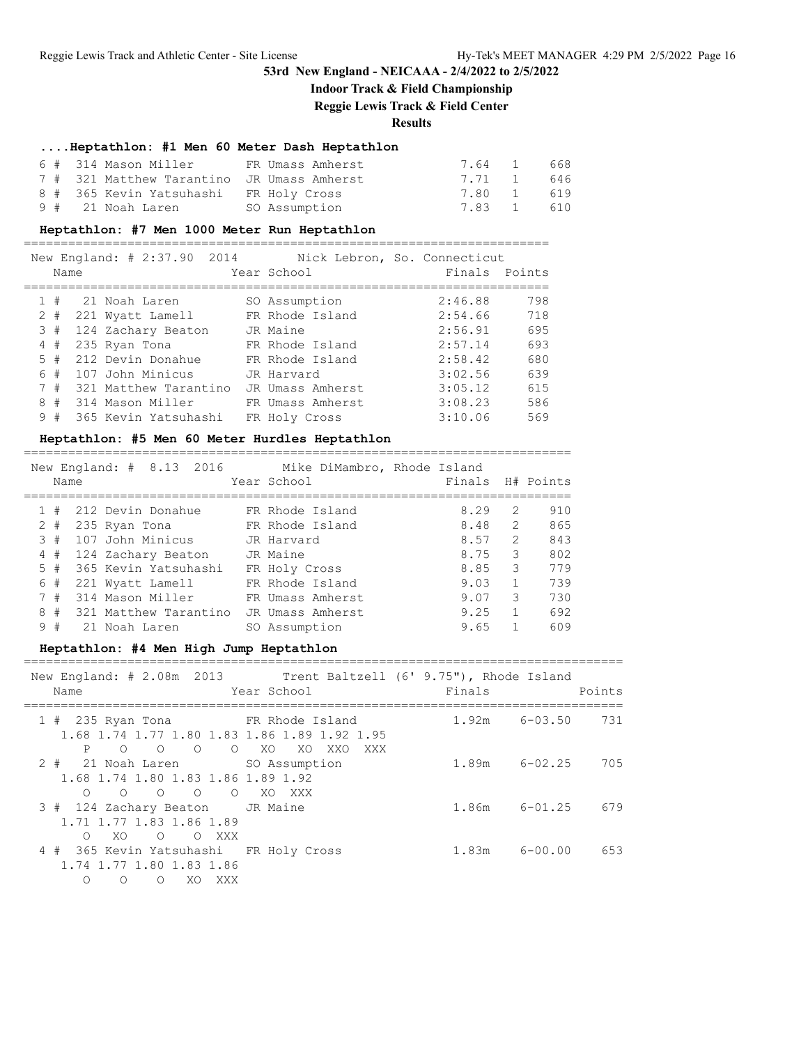## **Indoor Track & Field Championship**

**Reggie Lewis Track & Field Center**

### **Results**

### **....Heptathlon: #1 Men 60 Meter Dash Heptathlon**

| 6 # 314 Mason Miller |                                            |               | FR Umass Amherst | 7.64 1     | 668   |
|----------------------|--------------------------------------------|---------------|------------------|------------|-------|
|                      | 7 # 321 Matthew Tarantino JR Umass Amherst |               |                  | 7.71 1 646 |       |
|                      | 8 # 365 Kevin Yatsuhashi FR Holy Cross     |               |                  | 7.80 1 619 |       |
| 9 #   21 Noah Laren  |                                            | SO Assumption |                  | 7.83 1     | - 610 |

### **Heptathlon: #7 Men 1000 Meter Run Heptathlon**

=======================================================================

|   | New England: # 2:37.90 2014<br>Nick Lebron, So. Connecticut |  |                       |  |                  |               |     |  |  |  |  |
|---|-------------------------------------------------------------|--|-----------------------|--|------------------|---------------|-----|--|--|--|--|
|   | Name                                                        |  |                       |  | Year School      | Finals Points |     |  |  |  |  |
|   |                                                             |  |                       |  |                  |               |     |  |  |  |  |
|   | #                                                           |  | 21 Noah Laren         |  | SO Assumption    | 2:46.88       | 798 |  |  |  |  |
| 2 | #                                                           |  | 221 Wyatt Lamell      |  | FR Rhode Island  | 2:54.66       | 718 |  |  |  |  |
|   | 3#                                                          |  | 124 Zachary Beaton    |  | JR Maine         | 2:56.91       | 695 |  |  |  |  |
| 4 | #                                                           |  | 235 Ryan Tona         |  | FR Rhode Island  | 2:57.14       | 693 |  |  |  |  |
|   | 5#                                                          |  | 212 Devin Donahue     |  | FR Rhode Island  | 2:58.42       | 680 |  |  |  |  |
| 6 | #                                                           |  | 107 John Minicus      |  | JR Harvard       | 3:02.56       | 639 |  |  |  |  |
|   | 7#                                                          |  | 321 Matthew Tarantino |  | JR Umass Amherst | 3:05.12       | 615 |  |  |  |  |
| 8 | #                                                           |  | 314 Mason Miller      |  | FR Umass Amherst | 3:08.23       | 586 |  |  |  |  |
|   | 9#                                                          |  | 365 Kevin Yatsuhashi  |  | FR Holy Cross    | 3:10.06       | 569 |  |  |  |  |

### **Heptathlon: #5 Men 60 Meter Hurdles Heptathlon**

==========================================================================

|   |       |  |                    | New England: # 8.13 2016 |               | Mike DiMambro, Rhode Island |      |               |                  |
|---|-------|--|--------------------|--------------------------|---------------|-----------------------------|------|---------------|------------------|
|   | Name  |  |                    |                          | Year School   |                             |      |               | Finals H# Points |
|   |       |  |                    |                          |               |                             |      |               |                  |
|   | #     |  | 212 Devin Donahue  |                          |               | FR Rhode Island             | 8.29 | $\mathcal{L}$ | 910              |
|   | $2 +$ |  | 235 Ryan Tona      |                          |               | FR Rhode Island             | 8.48 | 2             | 865              |
|   | 3#    |  | 107 John Minicus   |                          | JR Harvard    |                             | 8.57 | 2             | 843              |
| 4 | #     |  | 124 Zachary Beaton |                          | JR Maine      |                             | 8.75 | 3             | 802              |
|   | 5#    |  |                    | 365 Kevin Yatsuhashi     | FR Holy Cross |                             | 8.85 | 3             | 779              |
| 6 | #     |  | 221 Wyatt Lamell   |                          |               | FR Rhode Island             | 9.03 |               | 739              |
| 7 | #     |  | 314 Mason Miller   |                          |               | FR Umass Amherst            | 9.07 | 3             | 730              |
| 8 | #     |  |                    | 321 Matthew Tarantino    |               | JR Umass Amherst            | 9.25 |               | 692              |
|   | 9#    |  | 21 Noah Laren      |                          | SO Assumption |                             | 9.65 |               | 609              |
|   |       |  |                    |                          |               |                             |      |               |                  |

### **Heptathlon: #4 Men High Jump Heptathlon**

=================================================================================

| New England: # 2.08m 2013 Trent Baltzell (6' 9.75"), Rhode Island<br>Name                                                                 | Year School          | Finals            | Points |
|-------------------------------------------------------------------------------------------------------------------------------------------|----------------------|-------------------|--------|
| 1 # 235 Ryan Tona FR Rhode Island<br>1.68 1.74 1.77 1.80 1.83 1.86 1.89 1.92 1.95<br>$\overline{O}$<br>$\circ$                            | O O XO XO XXO<br>XXX | $1.92m$ $6-03.50$ | 731    |
| 2 # 21 Noah Laren SO Assumption<br>1.68 1.74 1.80 1.83 1.86 1.89 1.92<br>$\begin{array}{ccccccccc}\n0 & 0 & 0 & \n\end{array}$<br>$\circ$ | XO XXX               | $1.89m$ $6-02.25$ | 705    |
| 3 # 124 Zachary Beaton JR Maine<br>1.71 1.77 1.83 1.86 1.89<br>O O XXX<br>XO<br>$\bigcirc$                                                |                      | $1.86m$ $6-01.25$ | 679    |
| 4 # 365 Kevin Yatsuhashi FR Holy Cross<br>1.74 1.77 1.80 1.83 1.86<br>XO XXX<br>$\Omega$<br>$\circ$                                       |                      | $1.83m$ $6-00.00$ | 653    |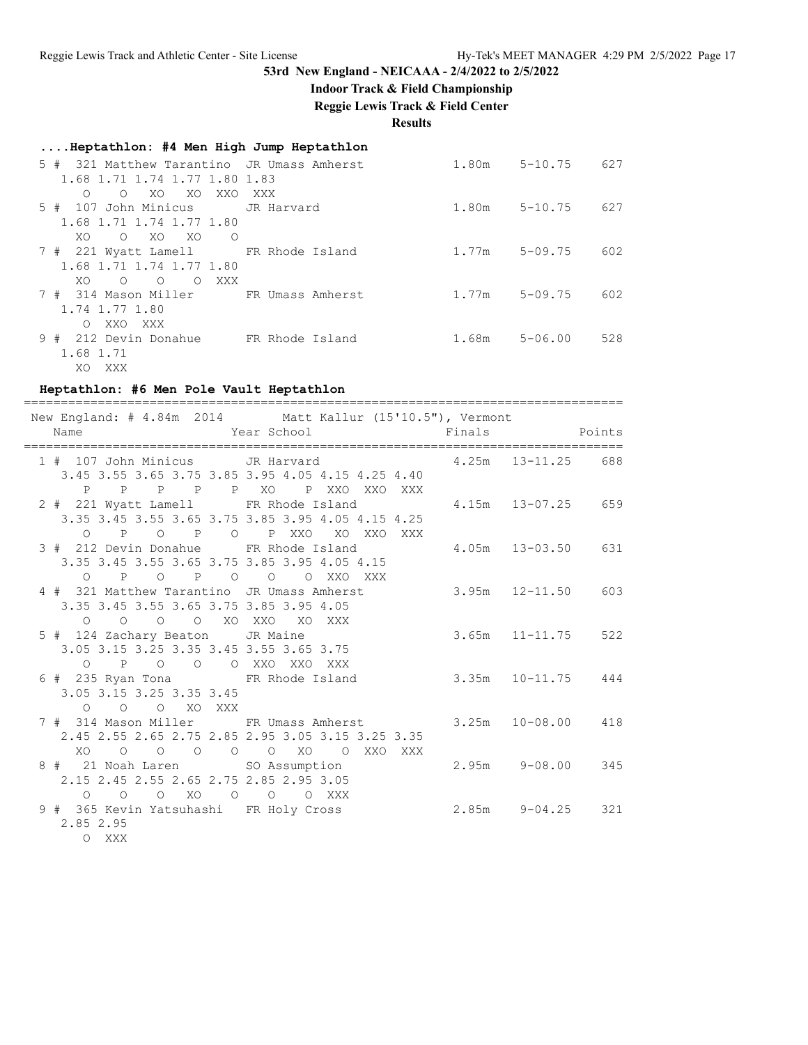**Indoor Track & Field Championship**

**Reggie Lewis Track & Field Center**

**Results**

| Heptathlon: #4 Men High Jump Heptathlon                                       |                  |       |             |     |
|-------------------------------------------------------------------------------|------------------|-------|-------------|-----|
| 321 Matthew Tarantino JR Umass Amherst<br>5#<br>1.68 1.71 1.74 1.77 1.80 1.83 |                  | 1.80m | $5 - 10.75$ | 627 |
| XO<br>$\Omega$<br>XO<br>XXO<br>$\Omega$                                       | XXX              |       |             |     |
| 107 John Minicus<br>5#                                                        | JR Harvard       | 1.80m | $5 - 10.75$ | 627 |
| 1.68 1.71 1.74 1.77 1.80                                                      |                  |       |             |     |
| XO.<br>XO.<br>XO.<br>$\circ$<br>$\circ$                                       |                  |       |             |     |
| 7 # 221 Wyatt Lamell FR Rhode Island                                          |                  | 1.77m | $5 - 09.75$ | 602 |
| 1.68 1.71 1.74 1.77 1.80                                                      |                  |       |             |     |
| $\circ$<br>XXX<br>XO.<br>$\Omega$<br>$\circ$<br>7#<br>314 Mason Miller        | FR Umass Amherst | 1.77m | $5 - 09.75$ | 602 |
| 1.74 1.77 1.80                                                                |                  |       |             |     |
| XXO<br>XXX<br>$\Omega$                                                        |                  |       |             |     |
| 9#<br>212 Devin Donahue                                                       | FR Rhode Island  | 1.68m | $5 - 06.00$ | 528 |
| 1.68 1.71                                                                     |                  |       |             |     |
| XXX<br>XO.                                                                    |                  |       |             |     |

### **Heptathlon: #6 Men Pole Vault Heptathlon**

| New England: # 4.84m 2014 Matt Kallur (15'10.5"), Vermont<br>Name                            | Year School Finals Points                                                       |                        |                        |  |
|----------------------------------------------------------------------------------------------|---------------------------------------------------------------------------------|------------------------|------------------------|--|
| 1 # 107 John Minicus JR Harvard 4.25m 13-11.25 688                                           |                                                                                 |                        |                        |  |
|                                                                                              | 3.45 3.55 3.65 3.75 3.85 3.95 4.05 4.15 4.25 4.40<br>P P P P P XO P XXO XXO XXX |                        |                        |  |
| 2 # 221 Wyatt Lamell FR Rhode Island 4.15m 13-07.25 659                                      | 3.35 3.45 3.55 3.65 3.75 3.85 3.95 4.05 4.15 4.25                               |                        |                        |  |
| 3 # 212 Devin Donahue FR Rhode Island                                                        | O P O P O P XXO XO XXO XXX                                                      |                        | 4.05m 13-03.50 631     |  |
| 3.35 3.45 3.55 3.65 3.75 3.85 3.95 4.05 4.15<br>0 P O P O O O XXO XXX                        |                                                                                 |                        |                        |  |
| 4 # 321 Matthew Tarantino JR Umass Amherst<br>3.35 3.45 3.55 3.65 3.75 3.85 3.95 4.05        |                                                                                 | $3.95m$ $12-11.50$ 603 |                        |  |
| $O$ $O$ $O$ $O$ $XO$ $XXO$<br>5 # 124 Zachary Beaton JR Maine                                | XO<br>XXX                                                                       |                        | $3.65m$ $11-11.75$ 522 |  |
| 3.05 3.15 3.25 3.35 3.45 3.55 3.65 3.75<br>O P O O O XXO XXO XXX                             |                                                                                 |                        |                        |  |
| 6 # 235 Ryan Tona FR Rhode Island<br>3.05 3.15 3.25 3.35 3.45                                | $3.35m$ $10-11.75$ $444$                                                        |                        |                        |  |
| O O O XO XXX<br>7 # 314 Mason Miller FR Umass Amherst 3.25m 10-08.00 418                     |                                                                                 |                        |                        |  |
| $\overline{O}$<br>XO                                                                         | 2.45 2.55 2.65 2.75 2.85 2.95 3.05 3.15 3.25 3.35<br>O O O O XO O XXO XXX       |                        |                        |  |
| 8 # 21 Noah Laren SO Assumption 2.95m 9-08.00 345<br>2.15 2.45 2.55 2.65 2.75 2.85 2.95 3.05 |                                                                                 |                        |                        |  |
| $O$ $O$ $XO$ $O$ $O$ $O$ $XXX$<br>$\Omega$<br>9 # 365 Kevin Yatsuhashi FR Holy Cross         | 2.85m 9-04.25 321                                                               |                        |                        |  |
| 2.85 2.95<br>O XXX                                                                           |                                                                                 |                        |                        |  |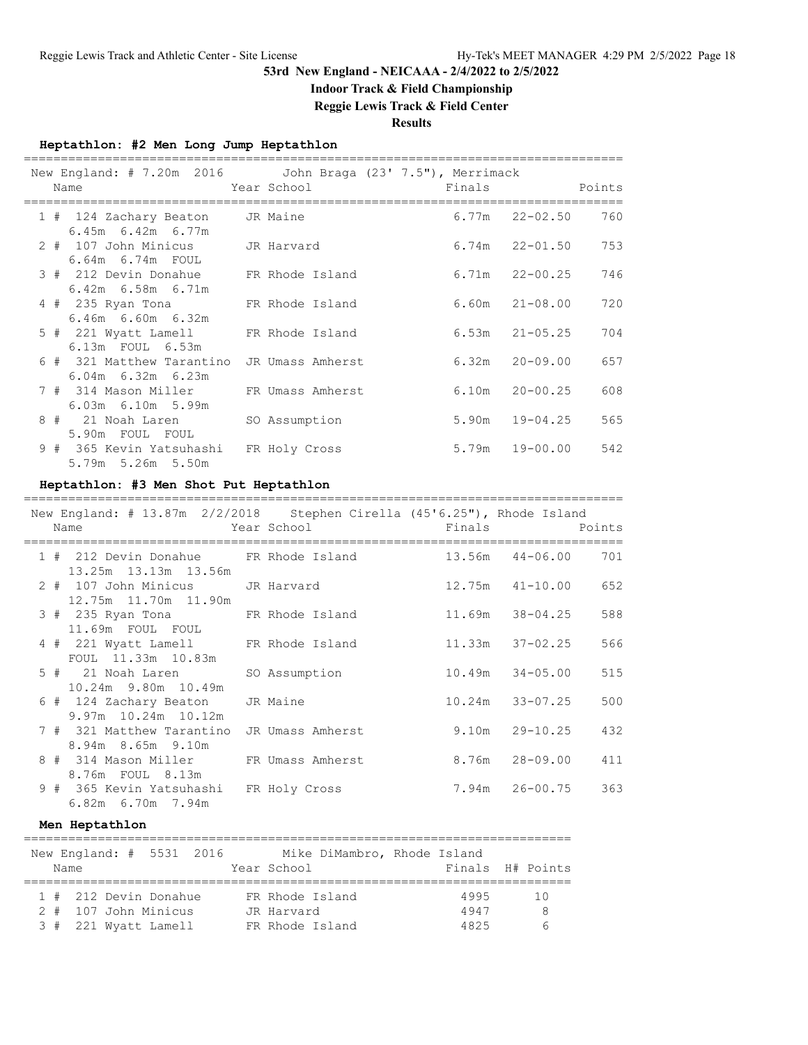# **Indoor Track & Field Championship**

**Reggie Lewis Track & Field Center**

## **Results**

## **Heptathlon: #2 Men Long Jump Heptathlon**

| New England: $# 7.20m 2016$ John Braga $(23' 7.5'')$ , Merrimack<br>Year School and the Marian School<br>Name |                  |  | Finals             | Points |
|---------------------------------------------------------------------------------------------------------------|------------------|--|--------------------|--------|
| 1 # 124 Zachary Beaton JR Maine<br>$6.45m$ $6.42m$ $6.77m$                                                    |                  |  | $6.77m$ $22-02.50$ | 760    |
| 2 # 107 John Minicus JR Harvard<br>$6.64m$ $6.74m$ FOUL                                                       |                  |  | $6.74m$ $22-01.50$ | 753    |
| 3 # 212 Devin Donahue FR Rhode Island<br>$6.42m$ $6.58m$ $6.71m$                                              |                  |  | $6.71m$ $22-00.25$ | 746    |
| 4 # 235 Ryan Tona FR Rhode Island<br>$6.46m$ $6.60m$ $6.32m$                                                  |                  |  | $6.60m$ $21-08.00$ | 720    |
| 5 # 221 Wyatt Lamell FR Rhode Island<br>6.13m FOUL 6.53m                                                      |                  |  | $6.53m$ $21-05.25$ | 704    |
| 6 # 321 Matthew Tarantino<br>$6.04m$ $6.32m$ $6.23m$                                                          | JR Umass Amherst |  | $6.32m$ $20-09.00$ | 657    |
| 7 # 314 Mason Miller FR Umass Amherst<br>6.03m 6.10m 5.99m                                                    |                  |  | $6.10m$ $20-00.25$ | 608    |
| 8 # 21 Noah Laren<br>5.90m FOUL FOUL                                                                          | SO Assumption    |  | $5.90m$ $19-04.25$ | 565    |
| 9 # 365 Kevin Yatsuhashi FR Holy Cross<br>5.79m 5.26m 5.50m                                                   |                  |  | $5.79m$ $19-00.00$ | 542    |

## **Heptathlon: #3 Men Shot Put Heptathlon**

| New England: # 13.87m 2/2/2018 Stephen Cirella (45'6.25"), Rhode Island<br>Name | <b>Example 2</b> Year School <b>Example 2</b> Finals Points |                |                     |     |
|---------------------------------------------------------------------------------|-------------------------------------------------------------|----------------|---------------------|-----|
| 1 # 212 Devin Donahue FR Rhode Island 13.56m 44-06.00<br>13.25m 13.13m 13.56m   |                                                             |                |                     | 701 |
| 2 # 107 John Minicus JR Harvard<br>12.75m 11.70m 11.90m                         |                                                             |                | $12.75m$ $41-10.00$ | 652 |
| 3 # 235 Ryan Tona 6 FR Rhode Island 11.69m 38-04.25<br>11.69m FOUL FOUL         |                                                             |                |                     | 588 |
| 4 # 221 Wyatt Lamell FR Rhode Island<br>FOUL 11.33m 10.83m                      |                                                             |                | $11.33m$ $37-02.25$ | 566 |
| 5 # 21 Noah Laren SO Assumption<br>10.24m 9.80m 10.49m                          |                                                             |                | 10.49m 34-05.00     | 515 |
| 6 # 124 Zachary Beaton<br>$9.97m$ 10.24m 10.12m                                 | JR Maine                                                    |                | $10.24m$ $33-07.25$ | 500 |
| 7 # 321 Matthew Tarantino<br>8.94m 8.65m 9.10m                                  | JR Umass Amherst                                            |                | $9.10m$ $29-10.25$  | 432 |
| 8 # 314 Mason Miller FR Umass Amherst<br>8.76m FOUL 8.13m                       |                                                             | 8.76m 28-09.00 |                     | 411 |
| 9 # 365 Kevin Yatsuhashi FR Holy Cross<br>6.82m 6.70m 7.94m                     |                                                             |                | 7.94m 26-00.75      | 363 |

### **Men Heptathlon**

| Name |  | New England: # 5531 2016 |  | Year School     | Mike DiMambro, Rhode Island | Finals H# Points |     |
|------|--|--------------------------|--|-----------------|-----------------------------|------------------|-----|
|      |  |                          |  |                 |                             |                  |     |
|      |  | 1 # 212 Devin Donahue    |  | FR Rhode Island |                             | 4995             | 1 O |
|      |  | 2 # 107 John Minicus     |  | JR Harvard      |                             | 4947             | 8   |
|      |  | 3 # 221 Wyatt Lamell     |  | FR Rhode Island |                             | 4825             | h   |